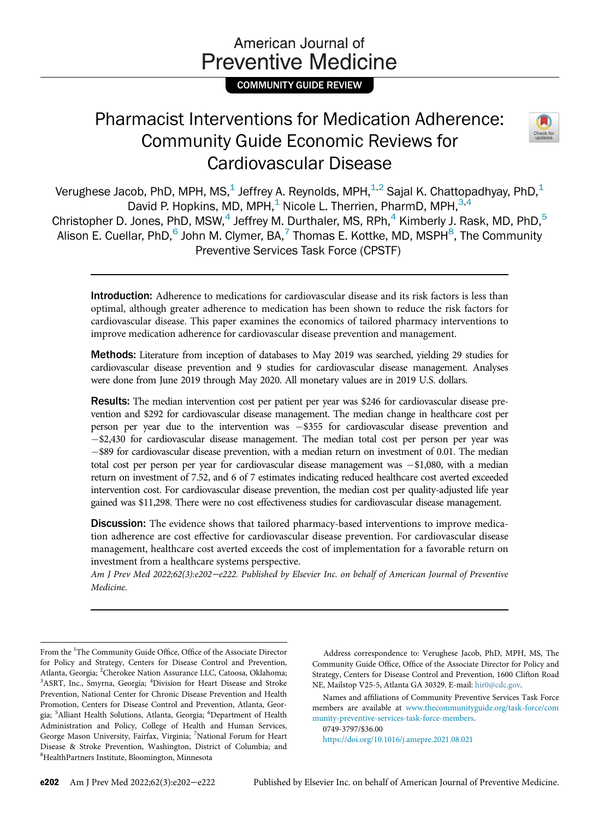# American Journal of **Preventive Medicine**

COMMUNITY GUIDE REVIEW

# Pharmacist Interventions for Medication Adherence: Community Guide Economic Reviews for Cardiovascular Disease



Verughese Jacob, PhD, MPH, MS, $<sup>1</sup>$  Jeffrey A. Reynolds, MPH, $<sup>1,2</sup>$  Sajal K. Chattopadhyay, PhD, $<sup>1</sup>$ </sup></sup></sup> David P. Hopkins, MD, MPH,<sup>1</sup> Nicole L. Therrien, PharmD, MPH,<sup>3,4</sup> Christopher D. Jones, PhD, MSW,  $4$  Jeffrey M. Durthaler, MS, RPh,  $4$  Kimberly J. Rask, MD, PhD,  $5$ Alison E. Cuellar, PhD,<sup>6</sup> John M. Clymer, BA,<sup>7</sup> Thomas E. Kottke, MD, MSPH<sup>8</sup>, The Community Preventive Services Task Force (CPSTF)

Introduction: Adherence to medications for cardiovascular disease and its risk factors is less than optimal, although greater adherence to medication has been shown to reduce the risk factors for cardiovascular disease. This paper examines the economics of tailored pharmacy interventions to improve medication adherence for cardiovascular disease prevention and management.

Methods: Literature from inception of databases to May 2019 was searched, yielding 29 studies for cardiovascular disease prevention and 9 studies for cardiovascular disease management. Analyses were done from June 2019 through May 2020. All monetary values are in 2019 U.S. dollars.

Results: The median intervention cost per patient per year was \$246 for cardiovascular disease prevention and \$292 for cardiovascular disease management. The median change in healthcare cost per person per year due to the intervention was  $-$ \$355 for cardiovascular disease prevention and  $-$ \$2,430 for cardiovascular disease management. The median total cost per person per year was -\$89 for cardiovascular disease prevention, with a median return on investment of 0.01. The median total cost per person per year for cardiovascular disease management was  $-\$1,080$ , with a median return on investment of 7.52, and 6 of 7 estimates indicating reduced healthcare cost averted exceeded intervention cost. For cardiovascular disease prevention, the median cost per quality-adjusted life year gained was \$11,298. There were no cost effectiveness studies for cardiovascular disease management.

Discussion: The evidence shows that tailored pharmacy-based interventions to improve medication adherence are cost effective for cardiovascular disease prevention. For cardiovascular disease management, healthcare cost averted exceeds the cost of implementation for a favorable return on investment from a healthcare systems perspective.

Am J Prev Med 2022;62(3):e202−e222. Published by Elsevier Inc. on behalf of American Journal of Preventive Medicine.

Address correspondence to: Verughese Jacob, PhD, MPH, MS, The Community Guide Office, Office of the Associate Director for Policy and Strategy, Centers for Disease Control and Prevention, 1600 Clifton Road NE, Mailstop V25-5, Atlanta GA 30329. E-mail: [hir0@cdc.gov.](mailto:hir0@cdc.gov)

Names and affiliations of Community Preventive Services Task Force members are available at [www.thecommunityguide.org/task-force/com](http://www.thecommunityguide.org/task-force/community-preventive-services-task-force-members) [munity-preventive-services-task-force-members.](http://www.thecommunityguide.org/task-force/community-preventive-services-task-force-members)

0749-3797/\$36.00 <https://doi.org/10.1016/j.amepre.2021.08.021>

From the <sup>1</sup>The Community Guide Office, Office of the Associate Director for Policy and Strategy, Centers for Disease Control and Prevention, Atlanta, Georgia; <sup>2</sup>Cherokee Nation Assurance LLC, Catoosa, Oklahoma;<br><sup>3</sup>ASPT, Inc., Smurna, Georgia: <sup>4</sup>Division for Heart, Disease and Stroke ASRT, Inc., Smyrna, Georgia; <sup>4</sup>Division for Heart Disease and Stroke Prevention, National Center for Chronic Disease Prevention and Health Promotion, Centers for Disease Control and Prevention, Atlanta, Georgia; <sup>5</sup> Alliant Health Solutions, Atlanta, Georgia; <sup>6</sup>Department of Health Administration and Policy, College of Health and Human Services, George Mason University, Fairfax, Virginia; <sup>7</sup>National Forum for Heart Disease & Stroke Prevention, Washington, District of Columbia; and 8 HealthPartners Institute, Bloomington, Minnesota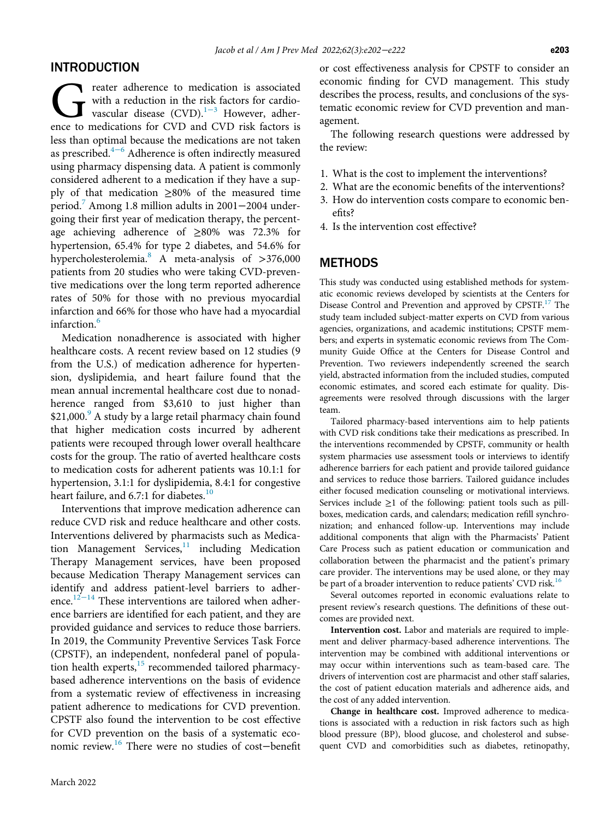### INTRODUCTION

**Correct is associated** with a reduction in the risk factors for cardiovascular disease  $(CVD).^{1-3}$  However, adherence to medications for CVD and CVD risk factors is with a reduction in the risk factors for cardiovascular disease  $(CVD)$ .<sup>1−3</sup> However, adherless than optimal because the medications are not taken as prescribed.4[−](#page-18-1)<sup>6</sup> Adherence is often indirectly measured using pharmacy dispensing data. A patient is commonly considered adherent to a medication if they have a supply of that medication ≥80% of the measured time period.[7](#page-18-2) Among 1.8 million adults in 2001−2004 undergoing their first year of medication therapy, the percentage achieving adherence of ≥80% was 72.3% for hypertension, 65.4% for type 2 diabetes, and 54.6% for hypercholesterolemia.<sup>[8](#page-18-3)</sup> A meta-analysis of  $>376,000$ patients from 20 studies who were taking CVD-preventive medications over the long term reported adherence rates of 50% for those with no previous myocardial infarction and 66% for those who have had a myocardial infarction.<sup>[6](#page-18-4)</sup>

Medication nonadherence is associated with higher healthcare costs. A recent review based on 12 studies (9 from the U.S.) of medication adherence for hypertension, dyslipidemia, and heart failure found that the mean annual incremental healthcare cost due to nonadherence ranged from \$3,610 to just higher than \$21,000.<sup>[9](#page-18-5)</sup> A study by a large retail pharmacy chain found that higher medication costs incurred by adherent patients were recouped through lower overall healthcare costs for the group. The ratio of averted healthcare costs to medication costs for adherent patients was 10.1:1 for hypertension, 3.1:1 for dyslipidemia, 8.4:1 for congestive heart failure, and 6.7:1 for diabetes.<sup>[10](#page-18-6)</sup>

Interventions that improve medication adherence can reduce CVD risk and reduce healthcare and other costs. Interventions delivered by pharmacists such as Medication Management Services, $11$  including Medication Therapy Management services, have been proposed because Medication Therapy Management services can identify and address patient-level barriers to adher-ence.<sup>[12](#page-18-8)−14</sup> These interventions are tailored when adherence barriers are identified for each patient, and they are provided guidance and services to reduce those barriers. In 2019, the Community Preventive Services Task Force (CPSTF), an independent, nonfederal panel of population health experts, $15$  recommended tailored pharmacybased adherence interventions on the basis of evidence from a systematic review of effectiveness in increasing patient adherence to medications for CVD prevention. CPSTF also found the intervention to be cost effective for CVD prevention on the basis of a systematic economic review.[16](#page-18-10) There were no studies of cost−benefit or cost effectiveness analysis for CPSTF to consider an economic finding for CVD management. This study describes the process, results, and conclusions of the systematic economic review for CVD prevention and management.

The following research questions were addressed by the review:

- 1. What is the cost to implement the interventions?
- 2. What are the economic benefits of the interventions?
- 3. How do intervention costs compare to economic benefits?
- 4. Is the intervention cost effective?

### **METHODS**

This study was conducted using established methods for systematic economic reviews developed by scientists at the Centers for Disease Control and Prevention and approved by CPSTF.<sup>[17](#page-18-11)</sup> The study team included subject-matter experts on CVD from various agencies, organizations, and academic institutions; CPSTF members; and experts in systematic economic reviews from The Community Guide Office at the Centers for Disease Control and Prevention. Two reviewers independently screened the search yield, abstracted information from the included studies, computed economic estimates, and scored each estimate for quality. Disagreements were resolved through discussions with the larger team.

Tailored pharmacy-based interventions aim to help patients with CVD risk conditions take their medications as prescribed. In the interventions recommended by CPSTF, community or health system pharmacies use assessment tools or interviews to identify adherence barriers for each patient and provide tailored guidance and services to reduce those barriers. Tailored guidance includes either focused medication counseling or motivational interviews. Services include  $\geq 1$  of the following: patient tools such as pillboxes, medication cards, and calendars; medication refill synchronization; and enhanced follow-up. Interventions may include additional components that align with the Pharmacists' Patient Care Process such as patient education or communication and collaboration between the pharmacist and the patient's primary care provider. The interventions may be used alone, or they may be part of a broader intervention to reduce patients' CVD risk.<sup>[16](#page-18-10)</sup>

Several outcomes reported in economic evaluations relate to present review's research questions. The definitions of these outcomes are provided next.

Intervention cost. Labor and materials are required to implement and deliver pharmacy-based adherence interventions. The intervention may be combined with additional interventions or may occur within interventions such as team-based care. The drivers of intervention cost are pharmacist and other staff salaries, the cost of patient education materials and adherence aids, and the cost of any added intervention.

Change in healthcare cost. Improved adherence to medications is associated with a reduction in risk factors such as high blood pressure (BP), blood glucose, and cholesterol and subsequent CVD and comorbidities such as diabetes, retinopathy,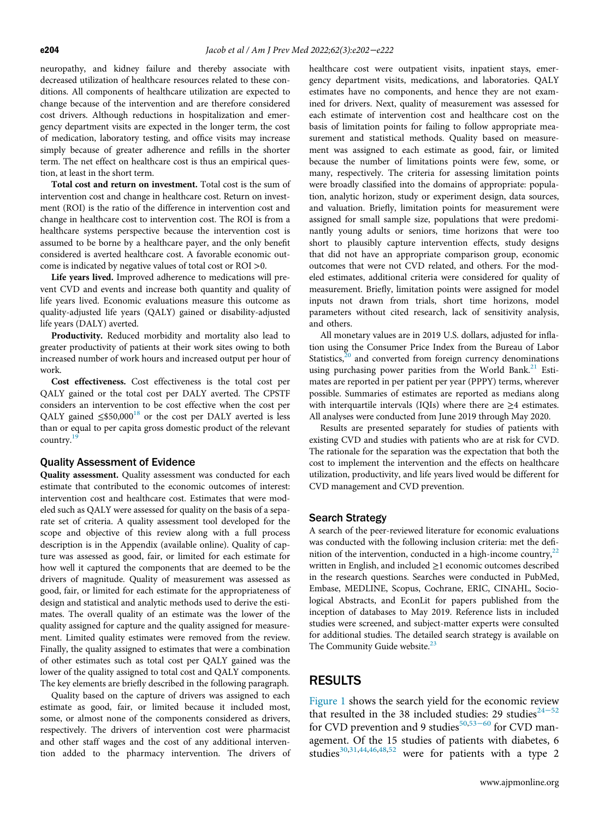neuropathy, and kidney failure and thereby associate with decreased utilization of healthcare resources related to these conditions. All components of healthcare utilization are expected to change because of the intervention and are therefore considered cost drivers. Although reductions in hospitalization and emergency department visits are expected in the longer term, the cost of medication, laboratory testing, and office visits may increase simply because of greater adherence and refills in the shorter term. The net effect on healthcare cost is thus an empirical question, at least in the short term.

Total cost and return on investment. Total cost is the sum of intervention cost and change in healthcare cost. Return on investment (ROI) is the ratio of the difference in intervention cost and change in healthcare cost to intervention cost. The ROI is from a healthcare systems perspective because the intervention cost is assumed to be borne by a healthcare payer, and the only benefit considered is averted healthcare cost. A favorable economic outcome is indicated by negative values of total cost or ROI >0.

Life years lived. Improved adherence to medications will prevent CVD and events and increase both quantity and quality of life years lived. Economic evaluations measure this outcome as quality-adjusted life years (QALY) gained or disability-adjusted life years (DALY) averted.

Productivity. Reduced morbidity and mortality also lead to greater productivity of patients at their work sites owing to both increased number of work hours and increased output per hour of work.

Cost effectiveness. Cost effectiveness is the total cost per QALY gained or the total cost per DALY averted. The CPSTF considers an intervention to be cost effective when the cost per QALY gained  $\leq$ \$50,000<sup>[18](#page-18-12)</sup> or the cost per DALY averted is less than or equal to per capita gross domestic product of the relevant country.[19](#page-18-13)

#### Quality Assessment of Evidence

Quality assessment. Quality assessment was conducted for each estimate that contributed to the economic outcomes of interest: intervention cost and healthcare cost. Estimates that were modeled such as QALY were assessed for quality on the basis of a separate set of criteria. A quality assessment tool developed for the scope and objective of this review along with a full process description is in the Appendix (available online). Quality of capture was assessed as good, fair, or limited for each estimate for how well it captured the components that are deemed to be the drivers of magnitude. Quality of measurement was assessed as good, fair, or limited for each estimate for the appropriateness of design and statistical and analytic methods used to derive the estimates. The overall quality of an estimate was the lower of the quality assigned for capture and the quality assigned for measurement. Limited quality estimates were removed from the review. Finally, the quality assigned to estimates that were a combination of other estimates such as total cost per QALY gained was the lower of the quality assigned to total cost and QALY components. The key elements are briefly described in the following paragraph.

Quality based on the capture of drivers was assigned to each estimate as good, fair, or limited because it included most, some, or almost none of the components considered as drivers, respectively. The drivers of intervention cost were pharmacist and other staff wages and the cost of any additional intervention added to the pharmacy intervention. The drivers of healthcare cost were outpatient visits, inpatient stays, emergency department visits, medications, and laboratories. QALY estimates have no components, and hence they are not examined for drivers. Next, quality of measurement was assessed for each estimate of intervention cost and healthcare cost on the basis of limitation points for failing to follow appropriate measurement and statistical methods. Quality based on measurement was assigned to each estimate as good, fair, or limited because the number of limitations points were few, some, or many, respectively. The criteria for assessing limitation points were broadly classified into the domains of appropriate: population, analytic horizon, study or experiment design, data sources, and valuation. Briefly, limitation points for measurement were assigned for small sample size, populations that were predominantly young adults or seniors, time horizons that were too short to plausibly capture intervention effects, study designs that did not have an appropriate comparison group, economic outcomes that were not CVD related, and others. For the modeled estimates, additional criteria were considered for quality of measurement. Briefly, limitation points were assigned for model inputs not drawn from trials, short time horizons, model parameters without cited research, lack of sensitivity analysis, and others.

All monetary values are in 2019 U.S. dollars, adjusted for inflation using the Consumer Price Index from the Bureau of Labor Statistics, $20$  and converted from foreign currency denominations using purchasing power parities from the World Bank.<sup>[21](#page-18-15)</sup> Estimates are reported in per patient per year (PPPY) terms, wherever possible. Summaries of estimates are reported as medians along with interquartile intervals (IQIs) where there are  $\geq$ 4 estimates. All analyses were conducted from June 2019 through May 2020.

Results are presented separately for studies of patients with existing CVD and studies with patients who are at risk for CVD. The rationale for the separation was the expectation that both the cost to implement the intervention and the effects on healthcare utilization, productivity, and life years lived would be different for CVD management and CVD prevention.

#### Search Strategy

A search of the peer-reviewed literature for economic evaluations was conducted with the following inclusion criteria: met the definition of the intervention, conducted in a high-income country, $^{22}$  $^{22}$  $^{22}$ written in English, and included ≥1 economic outcomes described in the research questions. Searches were conducted in PubMed, Embase, MEDLINE, Scopus, Cochrane, ERIC, CINAHL, Sociological Abstracts, and EconLit for papers published from the inception of databases to May 2019. Reference lists in included studies were screened, and subject-matter experts were consulted for additional studies. The detailed search strategy is available on The Community Guide website.<sup>[23](#page-18-17)</sup>

#### RESULTS

[Figure 1](#page-3-0) shows the search yield for the economic review that resulted in the 38 included stu[dies:](#page-19-1) 29 studies<sup>[24](#page-18-18)-52</sup> for CVD prevention and 9 studies<sup>[50](#page-19-0),53–60</sup> for CVD management. Of the 15 studies of patients with diabetes, 6 studies<sup>[30](#page-19-2)[,31,](#page-19-3)[44,](#page-19-4)[46](#page-19-5),[48](#page-19-6),[52](#page-19-7)</sup> were for patients with a type 2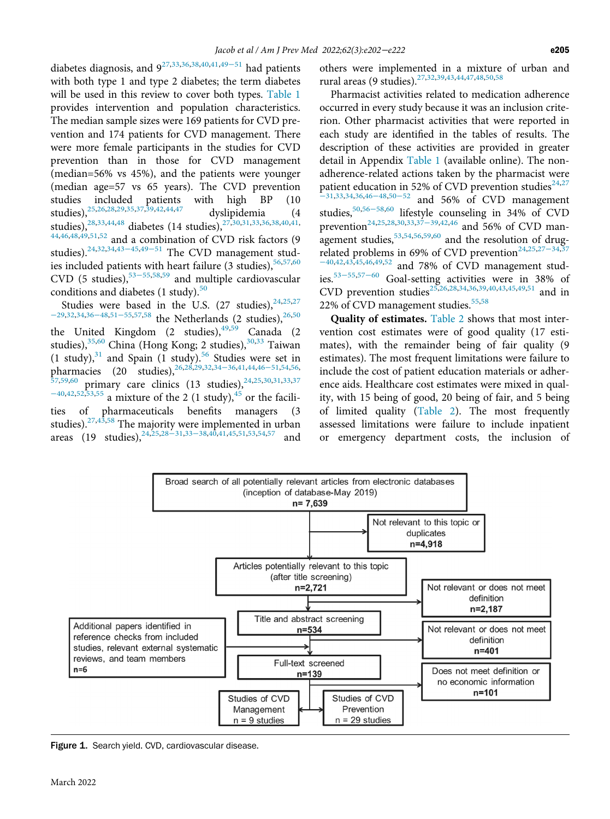diabetes diagnosis, and 9[27](#page-19-8)[,33,](#page-19-9)[36,](#page-19-10)[38](#page-19-11),[40](#page-19-12)[,41,](#page-19-13)[49](#page-19-14)−<sup>51</sup> had patients with both type 1 and type 2 diabetes; the term diabetes will be used in this review to cover both types. [Table 1](#page-4-0) provides intervention and population characteristics. The median sample sizes were 169 patients for CVD prevention and 174 patients for CVD management. There were more female participants in the studies for CVD prevention than in those for CVD management (median=56% vs 45%), and the patients were younger (median age=57 vs 65 years). The CVD prevention studies included patients with high BP (10 studies), <sup>[25,](#page-18-19)[26](#page-18-20),[28](#page-19-15)[,29](#page-19-16)[,35,](#page-19-17)[37](#page-19-18),[39](#page-19-19)[,42](#page-19-20)[,44,](#page-19-4)[47](#page-19-21)</sup> dyslipidemia (4 studies),<sup>[28,](#page-19-15)[33](#page-19-9),[44](#page-19-4)[,48](#page-19-6)</sup> diabetes (14 studies),<sup>[27,](#page-19-8)[30,](#page-19-2)[31](#page-19-3),33,[36](#page-19-10)[,38](#page-19-11)[,40,](#page-19-12)[41](#page-19-13),</sup> [44](#page-19-4)[,46,](#page-19-5)[48,](#page-19-6)[49](#page-19-14),[51](#page-19-22)[,52](#page-19-7) and a combination of CVD risk factors (9 studies).<sup>[24,](#page-18-18)[32](#page-19-23),[34](#page-19-24)[,43](#page-19-25)–45,49–[51](#page-19-14)</sup> The CVD management studies included patients with heart failure (3 studies),  $56,57,60$  $56,57,60$  $56,57,60$ CVD (5 studies),<sup>[53](#page-19-1)–55,[58](#page-20-1)[,59](#page-20-2)</sup> and multiple cardiovascular conditions and diabetes  $(1 \text{ study})$ .<sup>[50](#page-19-0)</sup>

Studies were based in the U.S. (27 studies), $24,25,27$  $24,25,27$  $24,25,27$  $-29,32,34,36-48,51-55,57,58$  $-29,32,34,36-48,51-55,57,58$  $-29,32,34,36-48,51-55,57,58$  $-29,32,34,36-48,51-55,57,58$  $-29,32,34,36-48,51-55,57,58$  $-29,32,34,36-48,51-55,57,58$  $-29,32,34,36-48,51-55,57,58$  $-29,32,34,36-48,51-55,57,58$  $-29,32,34,36-48,51-55,57,58$  $-29,32,34,36-48,51-55,57,58$  the Netherlands (2 studies),  $26,50$  $26,50$ the United Kingdom (2 studies), <sup>[49](#page-19-14),[59](#page-20-2)</sup> Canada (2 studies),<sup>[35,](#page-19-17)[60](#page-20-0)</sup> China (Hong Kong; 2 studies),<sup>[30](#page-19-2)[,33](#page-19-9)</sup> Taiwan (1 study), $31$  and Spain (1 study).<sup>[56](#page-19-26)</sup> Studies were set in pharmacies (20 studies),<sup>[26](#page-18-20)[,28](#page-19-15)[,29,](#page-19-16)[32](#page-19-23),34–[36](#page-19-24)[,41,](#page-19-13)[44](#page-19-4),46–[51](#page-19-5)[,54,](#page-19-28)[56](#page-19-26),</sup>  $57,59,60$  $57,59,60$  $57,59,60$  primary care clinics (13 studies),  $24,25,30,31,33,37$  $24,25,30,31,33,37$  $24,25,30,31,33,37$  $24,25,30,31,33,37$  $24,25,30,31,33,37$  $24,25,30,31,33,37$  $24,25,30,31,33,37$  $24,25,30,31,33,37$  $\overline{e^{+40,42,52,53,55}}$  $\overline{e^{+40,42,52,53,55}}$  $\overline{e^{+40,42,52,53,55}}$  $\overline{e^{+40,42,52,53,55}}$  $\overline{e^{+40,42,52,53,55}}$  $\overline{e^{+40,42,52,53,55}}$  $\overline{e^{+40,42,52,53,55}}$  $\overline{e^{+40,42,52,53,55}}$  a mixture of the 2 (1 study),<sup>[45](#page-19-30)</sup> or the facilities of pharmaceuticals benefits managers (3 studies).<sup>[27,](#page-19-8)[43](#page-19-25),[58](#page-20-1)</sup> The majo[rity w](#page-19-15)[ere im](#page-19-9)plemented in urban areas (19 studies),<sup>[24](#page-18-18),[25](#page-18-19),28</sub> $-31,33-38,40,41,45,51,53,54,57$  $-31,33-38,40,41,45,51,53,54,57$  $-31,33-38,40,41,45,51,53,54,57$  $-31,33-38,40,41,45,51,53,54,57$  $-31,33-38,40,41,45,51,53,54,57$  $-31,33-38,40,41,45,51,53,54,57$  $-31,33-38,40,41,45,51,53,54,57$  $-31,33-38,40,41,45,51,53,54,57$  $-31,33-38,40,41,45,51,53,54,57$  and</sup> others were implemented in a mixture of urban and rural areas (9 studies).[27,](#page-19-8)[32,](#page-19-23)[39](#page-19-19),[43](#page-19-25),[44,](#page-19-4)[47](#page-19-21)[,48](#page-19-6),[50](#page-19-0),[58](#page-20-1)

Pharmacist activities related to medication adherence occurred in every study because it was an inclusion criterion. Other pharmacist activities that were reported in each study are identified in the tables of results. The description of these activities are provided in greater detail in Appendix [Table 1](#page-4-0) (available online). The nonadherence-related actions taken by the pharmacist were patient education in 52% of CVD prevention studies<sup>[24](#page-18-18)[,27](#page-19-8)</sup> <sup>−</sup>[31](#page-19-8),[33](#page-19-9)[,34,](#page-19-24)[36,](#page-19-10)[46](#page-19-5)−48[,50](#page-19-0)−<sup>52</sup> and 56% of CVD management studies,[50](#page-19-0)[,56](#page-19-26)−58,[60](#page-20-0) lifestyle counseling in 34% of CVD prevention<sup>[24,](#page-18-18)[25,](#page-18-19)[28](#page-19-15),[30](#page-19-2)[,33,](#page-19-9)[37](#page-19-18)–39,[42](#page-19-20)[,46](#page-19-5)</sup> and 56% of CVD management studies,  $53,54,56,59,60$  $53,54,56,59,60$  $53,54,56,59,60$  $53,54,56,59,60$  $53,54,56,59,60$  $53,54,56,59,60$  and the resolution of drug-related problems in 69% of CVD prevention<sup>[24,](#page-18-18)[25](#page-18-19),27–[34](#page-19-8)[,37](#page-19-18)</sup> <sup>−</sup>[40](#page-19-18),[42](#page-19-20)[,43,](#page-19-25)[45,](#page-19-30)[46](#page-19-5),[49](#page-19-14)[,52](#page-19-7) and 78% of CVD management studies[.53](#page-19-1)<sup>−</sup>55,[57](#page-19-27)−<sup>60</sup> Goal-setting activities were in 38% of CVD prevention studies<sup>[25](#page-18-19)[,26,](#page-18-20)[28,](#page-19-15)[34](#page-19-24),[36](#page-19-10)[,39,](#page-19-19)[40](#page-19-12)[,43,](#page-19-25)[45](#page-19-30),[49](#page-19-14)[,51](#page-19-22)</sup> and in 22% of CVD management studies.<sup>[55,](#page-19-29)[58](#page-20-1)</sup>

Quality of estimates. [Table 2](#page-9-0) shows that most intervention cost estimates were of good quality (17 estimates), with the remainder being of fair quality (9 estimates). The most frequent limitations were failure to include the cost of patient education materials or adherence aids. Healthcare cost estimates were mixed in quality, with 15 being of good, 20 being of fair, and 5 being of limited quality [\(Table 2](#page-9-0)). The most frequently assessed limitations were failure to include inpatient or emergency department costs, the inclusion of

<span id="page-3-0"></span>

Figure 1. Search yield. CVD, cardiovascular disease.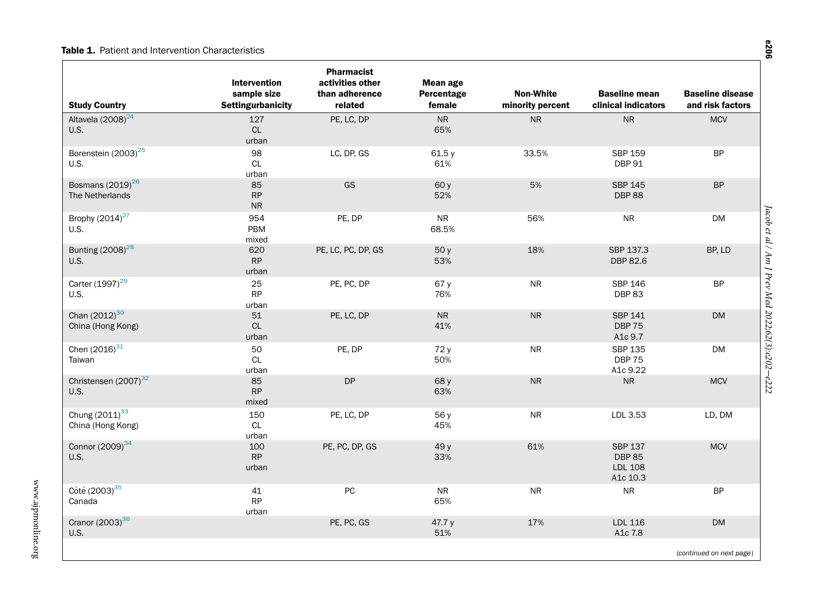#### Table 1. Patient and Intervention Characteristics

<span id="page-4-0"></span>

| <b>Study Country</b>                        | <b>Intervention</b><br>sample size<br><b>Settingurbanicity</b> | <b>Pharmacist</b><br>activities other<br>than adherence<br>related | <b>Mean age</b><br>Percentage<br>female | <b>Non-White</b><br>minority percent | <b>Baseline mean</b><br>clinical indicators                   | <b>Baseline disease</b><br>and risk factors |
|---------------------------------------------|----------------------------------------------------------------|--------------------------------------------------------------------|-----------------------------------------|--------------------------------------|---------------------------------------------------------------|---------------------------------------------|
| Altavela (2008) <sup>24</sup><br>U.S.       | 127<br><b>CL</b><br>urban                                      | PE, LC, DP                                                         | <b>NR</b><br>65%                        | <b>NR</b>                            | <b>NR</b>                                                     | <b>MCV</b>                                  |
| Borenstein (2003) <sup>25</sup><br>U.S.     | 98<br>CL<br>urban                                              | LC, DP, GS                                                         | 61.5 y<br>61%                           | 33.5%                                | <b>SBP 159</b><br><b>DBP 91</b>                               | <b>BP</b>                                   |
| Bosmans $(2019)^{26}$<br>The Netherlands    | 85<br><b>RP</b><br>${\sf NR}$                                  | GS                                                                 | 60 y<br>52%                             | 5%                                   | <b>SBP 145</b><br><b>DBP 88</b>                               | <b>BP</b>                                   |
| Brophy (2014) <sup>27</sup><br>U.S.         | 954<br>PBM<br>mixed                                            | PE, DP                                                             | <b>NR</b><br>68.5%                      | 56%                                  | ${\sf NR}$                                                    | <b>DM</b>                                   |
| Bunting (2008) <sup>28</sup><br><b>U.S.</b> | 620<br>RP<br>urban                                             | PE, LC, PC, DP, GS                                                 | 50y<br>53%                              | 18%                                  | SBP 137.3<br>DBP 82.6                                         | BP, LD                                      |
| Carter (1997) <sup>29</sup><br><b>U.S.</b>  | 25<br><b>RP</b><br>urban                                       | PE, PC, DP                                                         | 67 y<br>76%                             | <b>NR</b>                            | <b>SBP 146</b><br><b>DBP83</b>                                | <b>BP</b>                                   |
| Chan $(2012)^{30}$<br>China (Hong Kong)     | 51<br><b>CL</b><br>urban                                       | PE, LC, DP                                                         | <b>NR</b><br>41%                        | <b>NR</b>                            | <b>SBP 141</b><br><b>DBP 75</b><br>A1c 9.7                    | <b>DM</b>                                   |
| Chen $(2016)^{31}$<br>Taiwan                | 50<br>CL<br>urban                                              | PE, DP                                                             | 72 y<br>50%                             | <b>NR</b>                            | SBP 135<br><b>DBP 75</b><br>A1c 9.22                          | <b>DM</b>                                   |
| Christensen (2007) <sup>32</sup><br>U.S.    | 85<br><b>RP</b><br>mixed                                       | <b>DP</b>                                                          | 68 y<br>63%                             | <b>NR</b>                            | ${\sf NR}$                                                    | <b>MCV</b>                                  |
| Chung $(2011)^{33}$<br>China (Hong Kong)    | 150<br>CL<br>urban                                             | PE, LC, DP                                                         | 56 y<br>45%                             | <b>NR</b>                            | LDL 3.53                                                      | LD, DM                                      |
| Connor (2009) <sup>34</sup><br><b>U.S.</b>  | 100<br>RP<br>urban                                             | PE, PC, DP, GS                                                     | 49 y<br>33%                             | 61%                                  | <b>SBP 137</b><br><b>DBP 85</b><br><b>LDL 108</b><br>A1c 10.3 | <b>MCV</b>                                  |
| Côté (2003) <sup>35</sup><br>Canada         | 41<br><b>RP</b><br>urban                                       | PC                                                                 | ${\sf NR}$<br>65%                       | <b>NR</b>                            | ${\sf NR}$                                                    | <b>BP</b>                                   |
| Cranor (2003) <sup>36</sup><br><b>U.S.</b>  |                                                                | PE, PC, GS                                                         | 47.7 y<br>51%                           | 17%                                  | LDL 116<br>A1c 7.8                                            | <b>DM</b>                                   |
|                                             |                                                                |                                                                    |                                         |                                      |                                                               | (continued on next page)                    |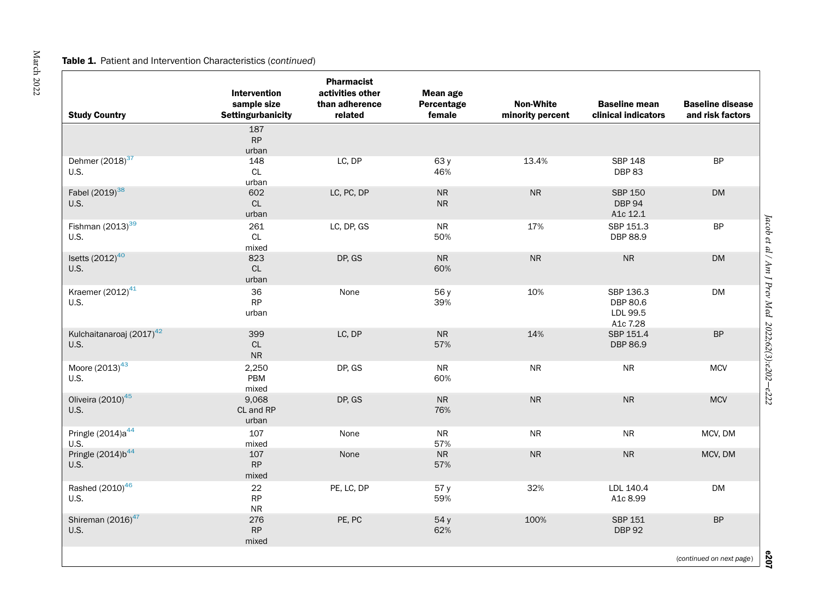#### **Table 1.** Patient and Intervention Characteristics (continued)

| <b>Study Country</b>                         | Intervention<br>sample size<br><b>Settingurbanicity</b> | <b>Pharmacist</b><br>activities other<br>than adherence<br>related | <b>Mean age</b><br>Percentage<br>female | <b>Non-White</b><br>minority percent | <b>Baseline mean</b><br>clinical indicators   | <b>Baseline disease</b><br>and risk factors |
|----------------------------------------------|---------------------------------------------------------|--------------------------------------------------------------------|-----------------------------------------|--------------------------------------|-----------------------------------------------|---------------------------------------------|
|                                              | 187<br>RP<br>urban                                      |                                                                    |                                         |                                      |                                               |                                             |
| Dehmer (2018) <sup>37</sup><br>U.S.          | 148<br>CL<br>urban                                      | LC, DP                                                             | 63 y<br>46%                             | 13.4%                                | <b>SBP 148</b><br>DBP83                       | <b>BP</b>                                   |
| Fabel (2019) <sup>38</sup><br>U.S.           | 602<br>$\mathsf{CL}$<br>urban                           | LC, PC, DP                                                         | ${\sf NR}$<br>${\sf NR}$                | <b>NR</b>                            | <b>SBP 150</b><br><b>DBP 94</b><br>A1c 12.1   | <b>DM</b>                                   |
| Fishman $(2013)^{39}$<br><b>U.S.</b>         | 261<br>CL<br>mixed                                      | LC, DP, GS                                                         | <b>NR</b><br>50%                        | 17%                                  | SBP 151.3<br>DBP 88.9                         | <b>BP</b>                                   |
| Isetts $(2012)^{40}$<br>U.S.                 | 823<br><b>CL</b><br>urban                               | DP, GS                                                             | <b>NR</b><br>60%                        | <b>NR</b>                            | <b>NR</b>                                     | <b>DM</b>                                   |
| Kraemer (2012) <sup>41</sup><br>U.S.         | 36<br>RP<br>urban                                       | None                                                               | 56 y<br>39%                             | 10%                                  | SBP 136.3<br>DBP 80.6<br>LDL 99.5<br>A1c 7.28 | <b>DM</b>                                   |
| Kulchaitanaroaj (2017) <sup>42</sup><br>U.S. | 399<br>CL<br><b>NR</b>                                  | LC, DP                                                             | <b>NR</b><br>57%                        | 14%                                  | SBP 151.4<br>DBP 86.9                         | <b>BP</b>                                   |
| Moore (2013) <sup>43</sup><br>U.S.           | 2,250<br>PBM<br>mixed                                   | DP, GS                                                             | <b>NR</b><br>60%                        | <b>NR</b>                            | <b>NR</b>                                     | <b>MCV</b>                                  |
| Oliveira (2010) <sup>45</sup><br>U.S.        | 9,068<br>CL and RP<br>urban                             | DP, GS                                                             | <b>NR</b><br>76%                        | <b>NR</b>                            | ${\sf NR}$                                    | <b>MCV</b>                                  |
| Pringle $(2014)a^{44}$<br>U.S.               | 107<br>mixed                                            | None                                                               | ${\sf NR}$<br>57%                       | <b>NR</b>                            | ${\sf NR}$                                    | MCV, DM                                     |
| Pringle (2014)b <sup>44</sup><br><b>U.S.</b> | 107<br><b>RP</b><br>mixed                               | None                                                               | ${\sf NR}$<br>57%                       | ${\sf NR}$                           | ${\sf NR}$                                    | MCV, DM                                     |
| Rashed (2010) <sup>46</sup><br>U.S.          | 22<br><b>RP</b><br><b>NR</b>                            | PE, LC, DP                                                         | 57 y<br>59%                             | 32%                                  | LDL 140.4<br>A1c 8.99                         | <b>DM</b>                                   |
| Shireman (2016) <sup>47</sup><br>U.S.        | 276<br>RP<br>mixed                                      | PE, PC                                                             | 54 y<br>62%                             | 100%                                 | <b>SBP 151</b><br><b>DBP 92</b>               | <b>BP</b>                                   |
|                                              |                                                         |                                                                    |                                         |                                      |                                               | (continued on next page)                    |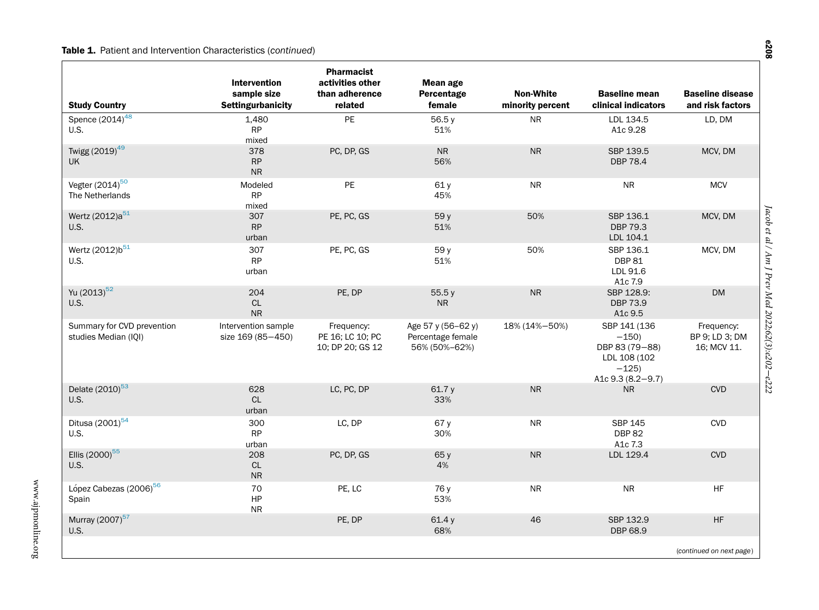#### **Table 1.** Patient and Intervention Characteristics (continued)

| <b>Study Country</b>                               | <b>Intervention</b><br>sample size<br><b>Settingurbanicity</b> | <b>Pharmacist</b><br>activities other<br>than adherence<br>related | Mean age<br>Percentage<br>female                         | <b>Non-White</b><br>minority percent | <b>Baseline mean</b><br>clinical indicators                                             | <b>Baseline disease</b><br>and risk factors |
|----------------------------------------------------|----------------------------------------------------------------|--------------------------------------------------------------------|----------------------------------------------------------|--------------------------------------|-----------------------------------------------------------------------------------------|---------------------------------------------|
| Spence $(2014)^{\overline{48}}$<br>U.S.            | 1,480<br><b>RP</b><br>mixed                                    | PE                                                                 | 56.5y<br>51%                                             | <b>NR</b>                            | LDL 134.5<br>A1c 9.28                                                                   | LD, DM                                      |
| Twigg (2019) <sup>49</sup><br><b>UK</b>            | 378<br>RP<br>${\sf NR}$                                        | PC, DP, GS                                                         | <b>NR</b><br>56%                                         | <b>NR</b>                            | SBP 139.5<br>DBP 78.4                                                                   | MCV, DM                                     |
| Vegter (2014) <sup>50</sup><br>The Netherlands     | Modeled<br><b>RP</b><br>mixed                                  | PE                                                                 | 61y<br>45%                                               | <b>NR</b>                            | <b>NR</b>                                                                               | <b>MCV</b>                                  |
| Wertz (2012)a <sup>51</sup><br><b>U.S.</b>         | 307<br><b>RP</b><br>urban                                      | PE, PC, GS                                                         | 59 y<br>51%                                              | 50%                                  | SBP 136.1<br><b>DBP 79.3</b><br>LDL 104.1                                               | MCV, DM                                     |
| Wertz (2012)b <sup>51</sup><br>U.S.                | 307<br><b>RP</b><br>urban                                      | PE, PC, GS                                                         | 59 y<br>51%                                              | 50%                                  | SBP 136.1<br><b>DBP 81</b><br>LDL 91.6<br>A1c 7.9                                       | MCV, DM                                     |
| Yu (2013) <sup>52</sup><br>U.S.                    | 204<br>CL<br><b>NR</b>                                         | PE, DP                                                             | 55.5y<br><b>NR</b>                                       | <b>NR</b>                            | SBP 128.9:<br><b>DBP 73.9</b><br>A1c 9.5                                                | <b>DM</b>                                   |
| Summary for CVD prevention<br>studies Median (IQI) | Intervention sample<br>size 169 (85-450)                       | Frequency:<br>PE 16; LC 10; PC<br>10; DP 20; GS 12                 | Age 57 y (56-62 y)<br>Percentage female<br>56% (50%-62%) | 18% (14%-50%)                        | SBP 141 (136<br>$-150$<br>DBP 83 (79-88)<br>LDL 108 (102<br>$-125$<br>A1c 9.3 (8.2-9.7) | Frequency:<br>BP 9; LD 3; DM<br>16; MCV 11. |
| Delate (2010) <sup>53</sup><br>U.S.                | 628<br>CL<br>urban                                             | LC, PC, DP                                                         | 61.7 y<br>33%                                            | <b>NR</b>                            | ${\sf NR}$                                                                              | <b>CVD</b>                                  |
| Ditusa $(2001)^{54}$<br>U.S.                       | 300<br><b>RP</b><br>urban                                      | LC, DP                                                             | 67 y<br>30%                                              | <b>NR</b>                            | SBP 145<br><b>DBP 82</b><br>A1c 7.3                                                     | <b>CVD</b>                                  |
| Ellis (2000) <sup>55</sup><br>U.S.                 | 208<br>CL<br>${\sf NR}$                                        | PC, DP, GS                                                         | 65 y<br>4%                                               | <b>NR</b>                            | LDL 129.4                                                                               | <b>CVD</b>                                  |
| López Cabezas (2006) <sup>56</sup><br>Spain        | 70<br>HP<br><b>NR</b>                                          | PE, LC                                                             | 76 y<br>53%                                              | <b>NR</b>                            | <b>NR</b>                                                                               | <b>HF</b>                                   |
| Murray (2007) <sup>57</sup><br>U.S.                |                                                                | PE, DP                                                             | 61.4 y<br>68%                                            | 46                                   | SBP 132.9<br>DBP 68.9                                                                   | HF                                          |
|                                                    |                                                                |                                                                    |                                                          |                                      |                                                                                         | (continued on next page)                    |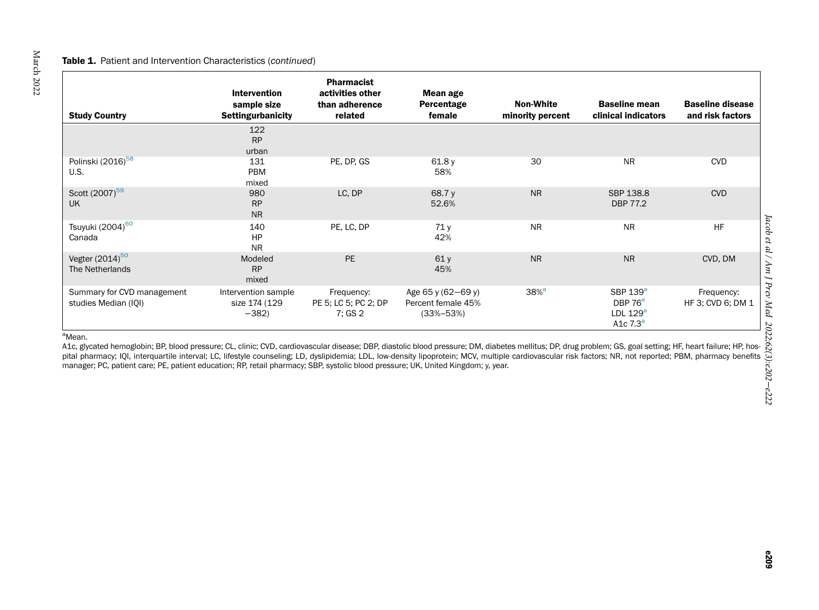#### <span id="page-7-0"></span>**Table 1.** Patient and Intervention Characteristics (continued)

| <b>Study Country</b>                               | Intervention<br>sample size<br><b>Settingurbanicity</b> | <b>Pharmacist</b><br>activities other<br>than adherence<br>related | Mean age<br>Percentage<br>female                            | <b>Non-White</b><br>minority percent | <b>Baseline mean</b><br>clinical indicators                                 | <b>Baseline disease</b><br>and risk factors |
|----------------------------------------------------|---------------------------------------------------------|--------------------------------------------------------------------|-------------------------------------------------------------|--------------------------------------|-----------------------------------------------------------------------------|---------------------------------------------|
|                                                    | 122<br><b>RP</b><br>urban                               |                                                                    |                                                             |                                      |                                                                             |                                             |
| Polinski (2016) <sup>58</sup><br>U.S.              | 131<br>PBM<br>mixed                                     | PE, DP, GS                                                         | 61.8y<br>58%                                                | 30                                   | <b>NR</b>                                                                   | <b>CVD</b>                                  |
| Scott (2007) <sup>59</sup><br><b>UK</b>            | 980<br><b>RP</b><br><b>NR</b>                           | LC, DP                                                             | 68.7 y<br>52.6%                                             | <b>NR</b>                            | SBP 138.8<br>DBP 77.2                                                       | <b>CVD</b>                                  |
| Tsuyuki (2004) <sup>60</sup><br>Canada             | 140<br><b>HP</b><br><b>NR</b>                           | PE, LC, DP                                                         | 71 y<br>42%                                                 | <b>NR</b>                            | <b>NR</b>                                                                   | <b>HF</b>                                   |
| Vegter $(2014)^{50}$<br>The Netherlands            | Modeled<br><b>RP</b><br>mixed                           | PE                                                                 | 61y<br>45%                                                  | <b>NR</b>                            | <b>NR</b>                                                                   | CVD, DM                                     |
| Summary for CVD management<br>studies Median (IQI) | Intervention sample<br>size 174 (129<br>$-382$          | Frequency:<br>PE 5; LC 5; PC 2; DP<br>7; GS 2                      | Age 65 y (62-69 y)<br>Percent female 45%<br>$(33\% - 53\%)$ | $38%$ <sup>a</sup>                   | SBP $139a$<br>DBP 76 <sup>a</sup><br>LDL $129^a$<br>A <sub>1</sub> c $7.3a$ | Frequency:<br>HF 3; CVD 6; DM 1             |

<sup>a</sup>Mean.<br>A1c, glycated hemoglobin; BP, blood pressure; CL, clinic; CVD, cardiovascular disease; DBP, diastolic blood pressure; DM, diabetes mellitus; DP, drug problem; GS, goal setting; HF, heart failure; HP, hospital pharmacy; IQI, interquartile interval; LC, lifestyle counseling; LD, dyslipidemia; LDL, low-density lipoprotein; MCV, multiple cardiovascular risk factors; NR, not reported; PBM, pharmacy benefits manager; PC, patient care; PE, patient education; RP, retail pharmacy; SBP, systolic blood pressure; UK, United Kingdom; y, year.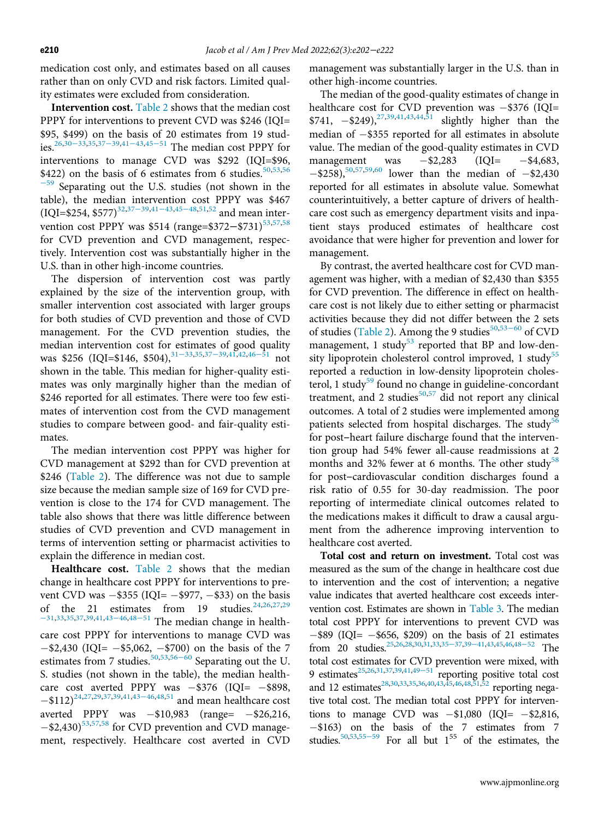medication cost only, and estimates based on all causes rather than on only CVD and risk factors. Limited quality estimates were excluded from consideration.

Intervention cost. [Table 2](#page-9-0) shows that the median cost PPPY for interventions to prevent CVD was \$246 (IQI= \$95, \$499) [on the](#page-19-18) basis of 20 estimates from 19 studies[.26](#page-18-20)[,30](#page-19-2)<sup>−</sup>33[,35,](#page-19-17)37−39,41−[43,](#page-19-13)[45](#page-19-30)−<sup>51</sup> The median cost PPPY for interventions to manage CVD was \$292 (IQI=\$96, \$422) on the basis of 6 estimates from 6 studies.<sup>[50](#page-19-0)[,53,](#page-19-1)[56](#page-19-26)</sup>  $-59$  $-59$  Separating out the U.S. studies (not shown in the table), the median [inte](#page-19-18)[rventi](#page-19-13)[on co](#page-19-30)st PPPY was \$467 (IQI=\$254, \$577)<sup>[32](#page-19-23),37–39,41–43,45–48,[51](#page-19-22),[52](#page-19-7)</sup> and mean inter-vention cost PPPY was \$514 (range=\$372–\$731)<sup>[53](#page-19-1)[,57,](#page-19-27)[58](#page-20-1)</sup> for CVD prevention and CVD management, respectively. Intervention cost was substantially higher in the U.S. than in other high-income countries.

The dispersion of intervention cost was partly explained by the size of the intervention group, with smaller intervention cost associated with larger groups for both studies of CVD prevention and those of CVD management. For the CVD prevention studies, the median intervention cost fo[r estim](#page-19-3)a[tes of](#page-19-18) go[od qu](#page-19-5)ality was \$256 (IQI=\$146, \$504),<sup>31–33,[35](#page-19-17),37–39,[41](#page-19-13),[42](#page-19-20),46–51</sup> not shown in the table. This median for higher-quality estimates was only marginally higher than the median of \$246 reported for all estimates. There were too few estimates of intervention cost from the CVD management studies to compare between good- and fair-quality estimates.

The median intervention cost PPPY was higher for CVD management at \$292 than for CVD prevention at \$246 ([Table 2](#page-9-0)). The difference was not due to sample size because the median sample size of 169 for CVD prevention is close to the 174 for CVD management. The table also shows that there was little difference between studies of CVD prevention and CVD management in terms of intervention setting or pharmacist activities to explain the difference in median cost.

Healthcare cost. [Table 2](#page-9-0) shows that the median change in healthcare cost PPPY for interventions to prevent CVD was  $-$ \$355 (IQI=  $-$ \$977,  $-$ \$33) on the basis of the 21 [esti](#page-19-25)[mates](#page-19-6) from 19 studies.  $24,26,27,29$  $24,26,27,29$  $24,26,27,29$  $24,26,27,29$ <sup>−</sup>[31](#page-19-16)[,33,](#page-19-9)[35,](#page-19-17)[37](#page-19-18),[39](#page-19-19),[41,](#page-19-13)43−46,48−<sup>51</sup> The median change in healthcare cost PPPY for interventions to manage CVD was  $-$ \$2,430 (IQI=  $-$ \$5,062,  $-$ \$700) on the basis of the 7 estimates from 7 studies.<sup>[50,](#page-19-0)[53,](#page-19-1)56–[60](#page-19-26)</sup> Separating out the U. S. studies (not shown in the table), the median health-care cost averted [PPPY](#page-19-25) was  $-$ \$376 (IQI=  $-$ \$898,  $-$ \$112)<sup>[24](#page-18-18),[27](#page-19-8)[,29](#page-19-16)[,37,](#page-19-18)[39](#page-19-19),[41](#page-19-13),43–46,[48](#page-19-6),[51](#page-19-22)</sup> and mean healthcare cost averted PPPY was  $-$ \$10,983 (range=  $-$ \$26,216,  $-$ \$2,430)<sup>[53,](#page-19-1)[57](#page-19-27)[,58](#page-20-1)</sup> for CVD prevention and CVD management, respectively. Healthcare cost averted in CVD

management was substantially larger in the U.S. than in other high-income countries.

The median of the good-quality estimates of change in healthcare cost for CVD prevention was  $-$ \$376 (IQI= \$7[41,](#page-19-13)  $-$ \$249),<sup>[27](#page-19-8)[,39,](#page-19-19)41,[43](#page-19-25),[44](#page-19-4)[,51](#page-19-22)</sup> slightly higher than the median of  $-$ \$355 reported for all estimates in absolute value. The median of the good-quality estimates in CVD management was  $-$ \$2,283 (IQI=  $-$ \$4,683,  $-$ \$258),<sup>50,[57,](#page-19-27)[59](#page-20-2),[60](#page-20-0)</sup> lower than the median of  $-$ \$2,430 reported for all estimates in absolute value. Somewhat counterintuitively, a better capture of drivers of healthcare cost such as emergency department visits and inpatient stays produced estimates of healthcare cost avoidance that were higher for prevention and lower for management.

By contrast, the averted healthcare cost for CVD management was higher, with a median of \$2,430 than \$355 for CVD prevention. The difference in effect on healthcare cost is not likely due to either setting or pharmacist activities because they did not differ betw[een th](#page-19-1)e 2 sets of studies ([Table 2\)](#page-9-0). Among the 9 studies<sup>[50](#page-19-0),53–60</sup> of CVD management, 1 study<sup>[53](#page-19-1)</sup> reported that BP and low-den-sity lipoprotein cholesterol control improved, 1 study<sup>[55](#page-19-29)</sup> reported a reduction in low-density lipoprotein choles-terol, 1 study<sup>[59](#page-20-2)</sup> found no change in guideline-concordant treatment, and 2 studies $50,57$  $50,57$  did not report any clinical outcomes. A total of 2 studies were implemented among patients selected from hospital discharges. The study<sup>[56](#page-19-26)</sup> for post-heart failure discharge found that the intervention group had 54% fewer all-cause readmissions at 2 months and 32% fewer at 6 months. The other study<sup>[58](#page-20-1)</sup> for post-cardiovascular condition discharges found a risk ratio of 0.55 for 30-day readmission. The poor reporting of intermediate clinical outcomes related to the medications makes it difficult to draw a causal argument from the adherence improving intervention to healthcare cost averted.

Total cost and return on investment. Total cost was measured as the sum of the change in healthcare cost due to intervention and the cost of intervention; a negative value indicates that averted healthcare cost exceeds intervention cost. Estimates are shown in [Table 3.](#page-13-0) The median total cost PPPY for interventions to prevent CVD was  $-$ \$89 (IQI=  $-$ \$656, \$209) o[n the](#page-19-17) [basis](#page-19-19) of 2[1 estim](#page-19-6)ates from 20 studies.<sup>25,[26](#page-18-20)[,28](#page-19-15)[,30,](#page-19-2)[31,](#page-19-3)[33](#page-19-9),35–37,39–41[,43,](#page-19-25)[45](#page-19-30),[46,](#page-19-5)48–52</sup> The total cost estimates for CVD prevention were mixed, with 9 estimates<sup>25[,26,](#page-18-20)[31](#page-19-3),[37](#page-19-18)[,39,](#page-19-19)[41](#page-19-13),[49](#page-19-14)–51</sup> reporting positive total cost and 12 estimates<sup>28,[30](#page-19-2)[,33](#page-19-9)[,35](#page-19-17),[36](#page-19-10)[,40](#page-19-12),[43](#page-19-25)[,45,](#page-19-30)[46](#page-19-5),[48](#page-19-6)[,51](#page-19-22)[,52](#page-19-7)</sup> reporting negative total cost. The median total cost PPPY for interventions to manage CVD was  $-\$1,080$  (IQI=  $-\$2,816$ ,  $-$ \$163) o[n the](#page-19-29) basis of the 7 estimates from 7 studies.<sup>[50](#page-19-0)[,53](#page-19-1),55−59</sup> For all but  $1^{55}$  of the estimates, the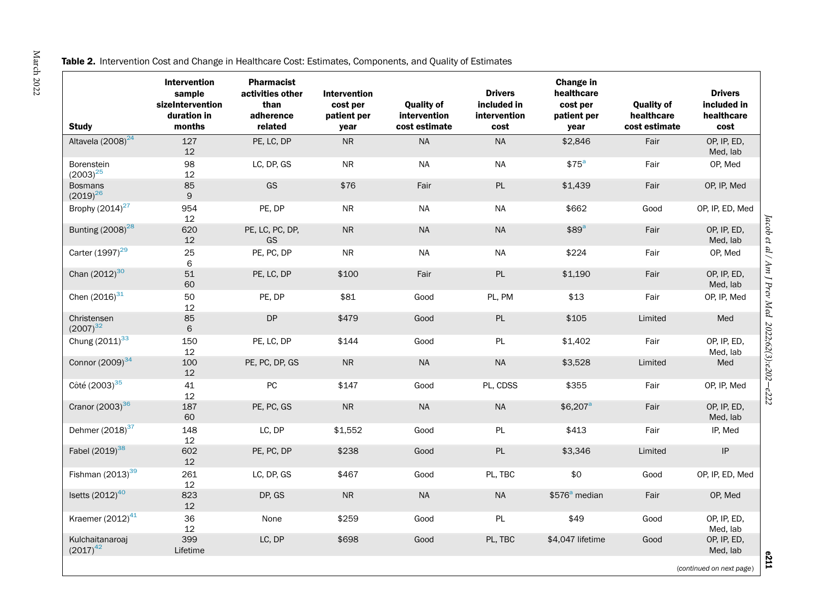#### <span id="page-9-0"></span>Table 2. Intervention Cost and Change in Healthcare Cost: Estimates, Components, and Quality of Estimates

| <b>Study</b>                       | <b>Intervention</b><br>sample<br>sizeIntervention<br>duration in<br>months | <b>Pharmacist</b><br>activities other<br>than<br>adherence<br>related | <b>Intervention</b><br>cost per<br>patient per<br>year | <b>Quality of</b><br>intervention<br>cost estimate | <b>Drivers</b><br>included in<br>intervention<br>cost | Change in<br>healthcare<br>cost per<br>patient per<br>year | <b>Quality of</b><br>healthcare<br>cost estimate | <b>Drivers</b><br>included in<br>healthcare<br>cost |
|------------------------------------|----------------------------------------------------------------------------|-----------------------------------------------------------------------|--------------------------------------------------------|----------------------------------------------------|-------------------------------------------------------|------------------------------------------------------------|--------------------------------------------------|-----------------------------------------------------|
| Altavela (2008) <sup>24</sup>      | 127<br>12                                                                  | PE, LC, DP                                                            | <b>NR</b>                                              | <b>NA</b>                                          | <b>NA</b>                                             | \$2,846                                                    | Fair                                             | OP, IP, ED,<br>Med, lab                             |
| <b>Borenstein</b><br>$(2003)^{25}$ | 98<br>12                                                                   | LC, DP, GS                                                            | <b>NR</b>                                              | <b>NA</b>                                          | <b>NA</b>                                             | \$75 <sup>a</sup>                                          | Fair                                             | OP, Med                                             |
| <b>Bosmans</b><br>$(2019)^{26}$    | 85<br>$\mathsf{9}$                                                         | GS                                                                    | \$76                                                   | Fair                                               | PL                                                    | \$1,439                                                    | Fair                                             | OP, IP, Med                                         |
| Brophy $(2014)^{27}$               | 954<br>12                                                                  | PE, DP                                                                | ${\sf NR}$                                             | <b>NA</b>                                          | <b>NA</b>                                             | \$662                                                      | Good                                             | OP, IP, ED, Med                                     |
| Bunting (2008) <sup>28</sup>       | 620<br>12                                                                  | PE, LC, PC, DP,<br>GS                                                 | ${\sf NR}$                                             | <b>NA</b>                                          | <b>NA</b>                                             | \$89 <sup>a</sup>                                          | Fair                                             | OP, IP, ED,<br>Med, lab                             |
| Carter (1997) <sup>29</sup>        | 25<br>6                                                                    | PE, PC, DP                                                            | <b>NR</b>                                              | NA                                                 | <b>NA</b>                                             | \$224                                                      | Fair                                             | OP, Med                                             |
| Chan $(2012)^{30}$                 | 51<br>60                                                                   | PE, LC, DP                                                            | \$100                                                  | Fair                                               | PL                                                    | \$1,190                                                    | Fair                                             | OP, IP, ED,<br>Med, lab                             |
| Chen $(2016)^{31}$                 | 50<br>12                                                                   | PE, DP                                                                | \$81                                                   | Good                                               | PL, PM                                                | \$13                                                       | Fair                                             | OP, IP, Med                                         |
| Christensen<br>$(2007)^{32}$       | 85<br>6                                                                    | DP                                                                    | \$479                                                  | Good                                               | PL                                                    | \$105                                                      | Limited                                          | Med                                                 |
| Chung (2011) <sup>33</sup>         | 150<br>12                                                                  | PE, LC, DP                                                            | \$144                                                  | Good                                               | PL                                                    | \$1,402                                                    | Fair                                             | OP, IP, ED,<br>Med, lab                             |
| Connor (2009) <sup>34</sup>        | 100<br>12                                                                  | PE, PC, DP, GS                                                        | ${\sf NR}$                                             | <b>NA</b>                                          | <b>NA</b>                                             | \$3,528                                                    | Limited                                          | Med                                                 |
| Côté (2003) <sup>35</sup>          | 41<br>12                                                                   | PC                                                                    | \$147                                                  | Good                                               | PL, CDSS                                              | \$355                                                      | Fair                                             | OP, IP, Med                                         |
| Cranor (2003) <sup>36</sup>        | 187<br>60                                                                  | PE, PC, GS                                                            | ${\sf NR}$                                             | $\sf NA$                                           | <b>NA</b>                                             | $$6,207$ <sup>a</sup>                                      | Fair                                             | OP, IP, ED,<br>Med, lab                             |
| Dehmer (2018) <sup>37</sup>        | 148<br>12                                                                  | LC, DP                                                                | \$1,552                                                | Good                                               | PL                                                    | \$413                                                      | Fair                                             | IP, Med                                             |
| Fabel (2019) <sup>38</sup>         | 602<br>12                                                                  | PE, PC, DP                                                            | \$238                                                  | Good                                               | PL                                                    | \$3,346                                                    | Limited                                          | $\ensuremath{\mathsf{IP}}$                          |
| Fishman $(2013)^{39}$              | 261<br>12                                                                  | LC, DP, GS                                                            | \$467                                                  | Good                                               | PL, TBC                                               | \$0                                                        | Good                                             | OP, IP, ED, Med                                     |
| Isetts (2012) <sup>40</sup>        | 823<br>12                                                                  | DP, GS                                                                | <b>NR</b>                                              | <b>NA</b>                                          | <b>NA</b>                                             | \$576 <sup>a</sup> median                                  | Fair                                             | OP, Med                                             |
| Kraemer (2012) <sup>41</sup>       | 36<br>12                                                                   | None                                                                  | \$259                                                  | Good                                               | PL                                                    | \$49                                                       | Good                                             | OP, IP, ED,<br>Med, lab                             |
| Kulchaitanaroaj<br>$(2017)^{42}$   | 399<br>Lifetime                                                            | LC, DP                                                                | \$698                                                  | Good                                               | PL, TBC                                               | \$4,047 lifetime                                           | Good                                             | OP, IP, ED,<br>Med, lab                             |
|                                    |                                                                            |                                                                       |                                                        |                                                    |                                                       |                                                            |                                                  | (continued on next page)                            |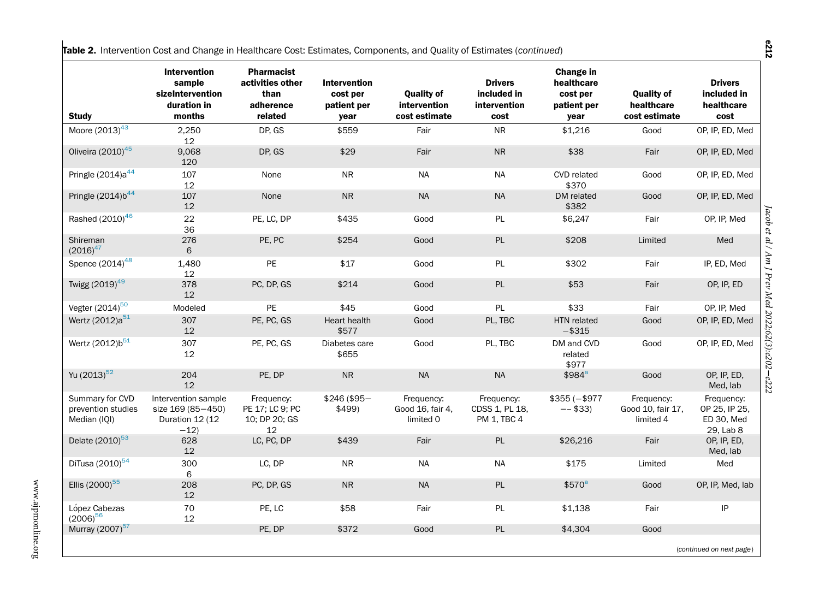|  | Table 2. Intervention Cost and Change in Healthcare Cost: Estimates, Components, and Quality of Estimates (continued) |  |  |  |  |
|--|-----------------------------------------------------------------------------------------------------------------------|--|--|--|--|
|--|-----------------------------------------------------------------------------------------------------------------------|--|--|--|--|

| <b>Study</b>                                          | <b>Intervention</b><br>sample<br>sizeIntervention<br>duration in<br>months | <b>Pharmacist</b><br>activities other<br>than<br>adherence<br>related | <b>Intervention</b><br>cost per<br>patient per<br>year | <b>Ouality of</b><br>intervention<br>cost estimate | <b>Drivers</b><br>included in<br>intervention<br>cost | Change in<br>healthcare<br>cost per<br>patient per<br>year | <b>Quality of</b><br>healthcare<br>cost estimate | <b>Drivers</b><br>included in<br>healthcare<br>cost    |
|-------------------------------------------------------|----------------------------------------------------------------------------|-----------------------------------------------------------------------|--------------------------------------------------------|----------------------------------------------------|-------------------------------------------------------|------------------------------------------------------------|--------------------------------------------------|--------------------------------------------------------|
| Moore $(2013)^{43}$                                   | 2,250                                                                      | DP, GS                                                                | \$559                                                  | Fair                                               | <b>NR</b>                                             | \$1,216                                                    | Good                                             | OP, IP, ED, Med                                        |
|                                                       | 12                                                                         |                                                                       |                                                        |                                                    | <b>NR</b>                                             |                                                            |                                                  |                                                        |
| Oliveira (2010) <sup>45</sup>                         | 9,068<br>120                                                               | DP, GS                                                                | \$29                                                   | Fair                                               |                                                       | \$38                                                       | Fair                                             | OP, IP, ED, Med                                        |
| Pringle (2014)a <sup>44</sup>                         | 107<br>12                                                                  | None                                                                  | <b>NR</b>                                              | <b>NA</b>                                          | NA                                                    | <b>CVD</b> related<br>\$370                                | Good                                             | OP, IP, ED, Med                                        |
| Pringle $(2014) b44$                                  | 107<br>12                                                                  | None                                                                  | ${\sf NR}$                                             | <b>NA</b>                                          | NA                                                    | DM related<br>\$382                                        | Good                                             | OP, IP, ED, Med                                        |
| Rashed (2010) <sup>46</sup>                           | 22<br>36                                                                   | PE, LC, DP                                                            | \$435                                                  | Good                                               | PL                                                    | \$6,247                                                    | Fair                                             | OP, IP, Med                                            |
| Shireman<br>$(2016)^{47}$                             | 276<br>6                                                                   | PE, PC                                                                | \$254                                                  | Good                                               | PL                                                    | \$208                                                      | Limited                                          | Med                                                    |
| Spence (2014) <sup>48</sup>                           | 1,480<br>12                                                                | PE                                                                    | \$17                                                   | Good                                               | <b>PL</b>                                             | \$302                                                      | Fair                                             | IP, ED, Med                                            |
| Twigg (2019) <sup>49</sup>                            | 378<br>12                                                                  | PC, DP, GS                                                            | \$214                                                  | Good                                               | PL                                                    | \$53                                                       | Fair                                             | OP, IP, ED                                             |
| Vegter (2014) <sup>50</sup>                           | Modeled                                                                    | PE                                                                    | \$45                                                   | Good                                               | <b>PL</b>                                             | \$33                                                       | Fair                                             | OP, IP, Med                                            |
| Wertz (2012)a <sup>51</sup>                           | 307<br>12                                                                  | PE, PC, GS                                                            | Heart health<br>\$577                                  | Good                                               | PL, TBC                                               | HTN related<br>$-$ \$315                                   | Good                                             | OP, IP, ED, Med                                        |
| Wertz (2012)b <sup>51</sup>                           | 307<br>12                                                                  | PE, PC, GS                                                            | Diabetes care<br>\$655                                 | Good                                               | PL, TBC                                               | DM and CVD<br>related<br>\$977                             | Good                                             | OP, IP, ED, Med                                        |
| Yu (2013) <sup>52</sup>                               | 204<br>12                                                                  | PE, DP                                                                | ${\sf NR}$                                             | <b>NA</b>                                          | <b>NA</b>                                             | \$984 <sup>a</sup>                                         | Good                                             | OP, IP, ED,<br>Med, lab                                |
| Summary for CVD<br>prevention studies<br>Median (IQI) | Intervention sample<br>size 169 (85-450)<br>Duration 12 (12<br>$-12)$      | Frequency:<br>PE 17; LC 9; PC<br>10; DP 20; GS<br>12                  | $$246 ($95-$<br>\$499                                  | Frequency:<br>Good 16, fair 4,<br>limited 0        | Frequency:<br>CDSS 1, PL 18,<br>PM 1, TBC 4           | $$355 (- $977$<br>$-- $33$                                 | Frequency:<br>Good 10, fair 17,<br>limited 4     | Frequency:<br>OP 25, IP 25,<br>ED 30, Med<br>29, Lab 8 |
| Delate (2010) <sup>53</sup>                           | 628<br>12                                                                  | LC, PC, DP                                                            | \$439                                                  | Fair                                               | PL                                                    | \$26,216                                                   | Fair                                             | OP, IP, ED,<br>Med, lab                                |
| DiTusa (2010) <sup>54</sup>                           | 300<br>6                                                                   | LC, DP                                                                | <b>NR</b>                                              | <b>NA</b>                                          | NA                                                    | \$175                                                      | Limited                                          | Med                                                    |
| Ellis (2000) <sup>55</sup>                            | 208<br>12                                                                  | PC, DP, GS                                                            | <b>NR</b>                                              | <b>NA</b>                                          | PL                                                    | \$570 <sup>a</sup>                                         | Good                                             | OP, IP, Med, lab                                       |
| López Cabezas<br>$(2006)^{56}$                        | 70<br>12                                                                   | PE, LC                                                                | \$58                                                   | Fair                                               | PL                                                    | \$1,138                                                    | Fair                                             | IP                                                     |
| Murray (2007) <sup>57</sup>                           |                                                                            | PE, DP                                                                | \$372                                                  | Good                                               | PL                                                    | \$4,304                                                    | Good                                             |                                                        |
|                                                       |                                                                            |                                                                       |                                                        |                                                    |                                                       |                                                            |                                                  | (continued on next page)                               |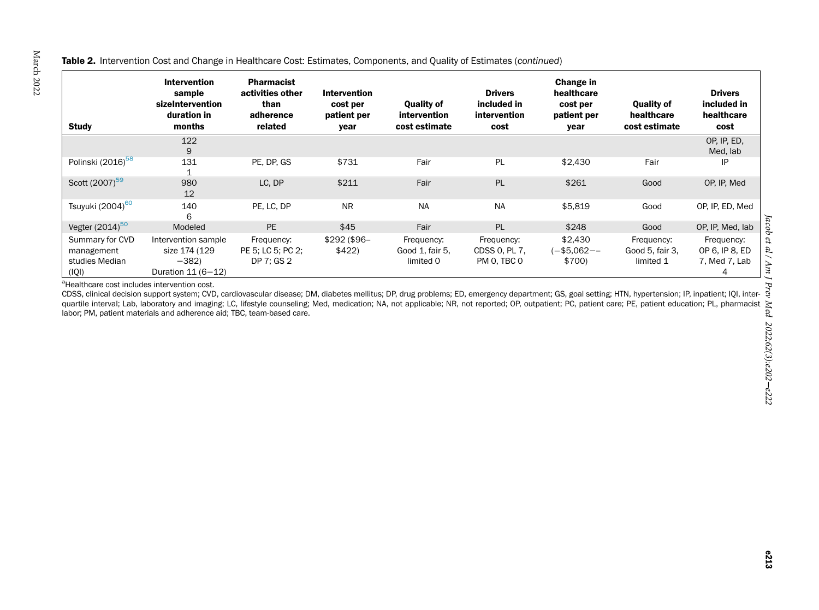#### <span id="page-11-0"></span>**Table 2.** Intervention Cost and Change in Healthcare Cost: Estimates, Components, and Quality of Estimates (continued)

| <b>Study</b>                                             | <b>Intervention</b><br>sample<br>sizeIntervention<br>duration in<br>months | <b>Pharmacist</b><br>activities other<br>than<br>adherence<br>related | <b>Intervention</b><br>cost per<br>patient per<br>year | <b>Quality of</b><br>intervention<br>cost estimate | <b>Drivers</b><br>included in<br>intervention<br>cost | Change in<br>healthcare<br>cost per<br>patient per<br>year | <b>Quality of</b><br>healthcare<br>cost estimate | <b>Drivers</b><br>included in<br>healthcare<br>cost |
|----------------------------------------------------------|----------------------------------------------------------------------------|-----------------------------------------------------------------------|--------------------------------------------------------|----------------------------------------------------|-------------------------------------------------------|------------------------------------------------------------|--------------------------------------------------|-----------------------------------------------------|
|                                                          | 122<br>9                                                                   |                                                                       |                                                        |                                                    |                                                       |                                                            |                                                  | OP. IP. ED.<br>Med, lab                             |
| Polinski (2016) <sup>58</sup>                            | 131                                                                        | PE, DP, GS                                                            | \$731                                                  | Fair                                               | PL                                                    | \$2,430                                                    | Fair                                             | IP                                                  |
| Scott (2007) <sup>59</sup>                               | 980<br>12                                                                  | LC, DP                                                                | \$211                                                  | Fair                                               | PL                                                    | \$261                                                      | Good                                             | OP, IP, Med                                         |
| Tsuyuki (2004) <sup>60</sup>                             | 140<br>6                                                                   | PE, LC, DP                                                            | <b>NR</b>                                              | <b>NA</b>                                          | <b>NA</b>                                             | \$5,819                                                    | Good                                             | OP, IP, ED, Med                                     |
| Vegter $(2014)^{50}$                                     | Modeled                                                                    | <b>PE</b>                                                             | \$45                                                   | Fair                                               | PL                                                    | \$248                                                      | Good                                             | OP, IP, Med, lab                                    |
| Summary for CVD<br>management<br>studies Median<br>(IQI) | Intervention sample<br>size 174 (129<br>$-382$<br>Duration 11 (6-12)       | Frequency:<br>PE 5: LC 5: PC 2:<br>DP 7: GS 2                         | $$292($96-$<br>\$422                                   | Frequency:<br>Good 1, fair 5,<br>limited 0         | Frequency:<br>CDSS 0, PL 7,<br>PM 0, TBC 0            | \$2,430<br>(-\$5,062--<br>\$700)                           | Frequency:<br>Good 5, fair 3,<br>limited 1       | Frequency:<br>OP 6, IP 8, ED<br>7, Med 7, Lab<br>4  |

| (lQl) Duration 11 (6−12)<br><sup>a</sup>Healthcare cost includes intervention cost.<br>CDSS, clinical decision support system; CVD, cardiovascular disease; DM, diabetes mellitus; DP, drug problems; ED, emergency department; GS, quartile interval; Lab, laboratory and imaging; LC, lifestyle counseling; Med, medication; NA, not applicable; NR, not reported; OP, outpatient; PC, patient care; PE, patient education; PL, pharmacist labor; PM, patient materials and adherence aid; TBC, team-based care.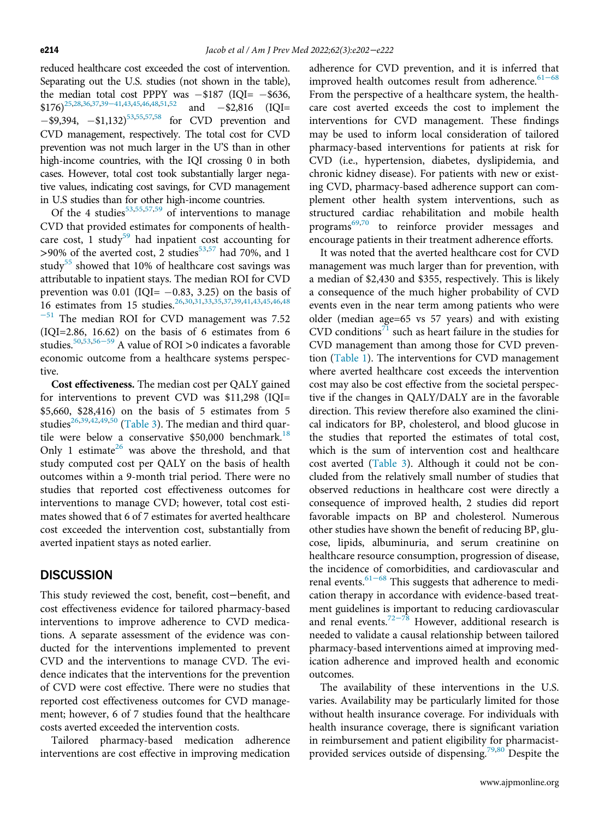reduced healthcare cost exceeded the cost of intervention. Separating out the U.S. studies (not shown in the table), the median total cost PPPY was  $-\$187$  (IQI=  $-\$636$ ,  $$176)^{25,28,36,37,39-41,43,45,46,48,51,52}$  $$176)^{25,28,36,37,39-41,43,45,46,48,51,52}$  $$176)^{25,28,36,37,39-41,43,45,46,48,51,52}$  $$176)^{25,28,36,37,39-41,43,45,46,48,51,52}$  $$176)^{25,28,36,37,39-41,43,45,46,48,51,52}$  $$176)^{25,28,36,37,39-41,43,45,46,48,51,52}$  $$176)^{25,28,36,37,39-41,43,45,46,48,51,52}$  $$176)^{25,28,36,37,39-41,43,45,46,48,51,52}$  $$176)^{25,28,36,37,39-41,43,45,46,48,51,52}$  $$176)^{25,28,36,37,39-41,43,45,46,48,51,52}$  $$176)^{25,28,36,37,39-41,43,45,46,48,51,52}$  $$176)^{25,28,36,37,39-41,43,45,46,48,51,52}$  $$176)^{25,28,36,37,39-41,43,45,46,48,51,52}$  $$176)^{25,28,36,37,39-41,43,45,46,48,51,52}$  $$176)^{25,28,36,37,39-41,43,45,46,48,51,52}$  $$176)^{25,28,36,37,39-41,43,45,46,48,51,52}$  and  $-$2,816$  (IQI=  $-$ \$9,394,  $-$ \$1,132)<sup>[53](#page-19-1)[,55](#page-19-29),[57](#page-19-27)[,58](#page-20-1)</sup> for CVD prevention and CVD management, respectively. The total cost for CVD prevention was not much larger in the U'S than in other high-income countries, with the IQI crossing 0 in both cases. However, total cost took substantially larger negative values, indicating cost savings, for CVD management in U.S studies than for other high-income countries.

Of the 4 studies<sup>[53,](#page-19-1)[55](#page-19-29),[57](#page-19-27)[,59](#page-20-2)</sup> of interventions to manage CVD that provided estimates for components of health-care cost, 1 study<sup>[59](#page-20-2)</sup> had inpatient cost accounting for  $>90\%$  of the averted cost, 2 studies<sup>[53](#page-19-1),[57](#page-19-27)</sup> had 70%, and 1 study<sup>[55](#page-19-29)</sup> showed that 10% of healthcare cost savings was attributable to inpatient stays. The median ROI for CVD prevention was 0.01 (IQI=  $-0.83$ , 3.25) on the basis of 16 estimates from 15 studies. [26,](#page-18-20)[30,](#page-19-2)[31,](#page-19-3)[33](#page-19-9),[35](#page-19-17)[,37](#page-19-18)[,39,](#page-19-19)[41](#page-19-13),[43](#page-19-25)[,45](#page-19-30)[,46,](#page-19-5)[48](#page-19-6)  $-51$  $-51$  The median ROI for CVD management was 7.52 (IQI=2.86, 16.62) on the basis of 6 estimates from 6 studies.[50,](#page-19-0)[53,](#page-19-1)56−[59](#page-19-26) A value of ROI >0 indicates a favorable economic outcome from a healthcare systems perspective.

Cost effectiveness. The median cost per QALY gained for interventions to prevent CVD was \$11,298 (IQI= \$5,660, \$28,416) on the basis of 5 estimates from 5 studies<sup>[26](#page-18-20)[,39,](#page-19-19)[42,](#page-19-20)[49,](#page-19-14)[50](#page-19-0)</sup> [\(Table 3](#page-13-0)). The median and third quartile were below a conservative  $$50,000$  benchmark.<sup>[18](#page-18-12)</sup> Only 1 estimate<sup>[26](#page-18-20)</sup> was above the threshold, and that study computed cost per QALY on the basis of health outcomes within a 9-month trial period. There were no studies that reported cost effectiveness outcomes for interventions to manage CVD; however, total cost estimates showed that 6 of 7 estimates for averted healthcare cost exceeded the intervention cost, substantially from averted inpatient stays as noted earlier.

## **DISCUSSION**

This study reviewed the cost, benefit, cost−benefit, and cost effectiveness evidence for tailored pharmacy-based interventions to improve adherence to CVD medications. A separate assessment of the evidence was conducted for the interventions implemented to prevent CVD and the interventions to manage CVD. The evidence indicates that the interventions for the prevention of CVD were cost effective. There were no studies that reported cost effectiveness outcomes for CVD management; however, 6 of 7 studies found that the healthcare costs averted exceeded the intervention costs.

Tailored pharmacy-based medication adherence interventions are cost effective in improving medication

adherence for CVD prevention, and it is inferred that improved health outcomes result from adherence.<sup>[61](#page-20-6)–68</sup> From the perspective of a healthcare system, the healthcare cost averted exceeds the cost to implement the interventions for CVD management. These findings may be used to inform local consideration of tailored pharmacy-based interventions for patients at risk for CVD (i.e., hypertension, diabetes, dyslipidemia, and chronic kidney disease). For patients with new or existing CVD, pharmacy-based adherence support can complement other health system interventions, such as structured cardiac rehabilitation and mobile health programs<sup>[69,](#page-20-7)[70](#page-20-8)</sup> to reinforce provider messages and encourage patients in their treatment adherence efforts.

It was noted that the averted healthcare cost for CVD management was much larger than for prevention, with a median of \$2,430 and \$355, respectively. This is likely a consequence of the much higher probability of CVD events even in the near term among patients who were older (median age=65 vs 57 years) and with existing  $CVD$  conditions<sup>[71](#page-20-9)</sup> such as heart failure in the studies for CVD management than among those for CVD prevention ([Table 1\)](#page-4-0). The interventions for CVD management where averted healthcare cost exceeds the intervention cost may also be cost effective from the societal perspective if the changes in QALY/DALY are in the favorable direction. This review therefore also examined the clinical indicators for BP, cholesterol, and blood glucose in the studies that reported the estimates of total cost, which is the sum of intervention cost and healthcare cost averted ([Table 3](#page-13-0)). Although it could not be concluded from the relatively small number of studies that observed reductions in healthcare cost were directly a consequence of improved health, 2 studies did report favorable impacts on BP and cholesterol. Numerous other studies have shown the benefit of reducing BP, glucose, lipids, albuminuria, and serum creatinine on healthcare resource consumption, progression of disease, the incidenc[e of](#page-20-6) comorbidities, and cardiovascular and renal events.<sup>61−68</sup> This suggests that adherence to medication therapy in accordance with evidence-based treatment guidelines i[s imp](#page-20-10)ortant to reducing cardiovascular and renal events.<sup>72−78</sup> However, additional research is needed to validate a causal relationship between tailored pharmacy-based interventions aimed at improving medication adherence and improved health and economic outcomes.

The availability of these interventions in the U.S. varies. Availability may be particularly limited for those without health insurance coverage. For individuals with health insurance coverage, there is significant variation in reimbursement and patient eligibility for pharmacist-provided services outside of dispensing.<sup>[79,](#page-20-11)[80](#page-20-12)</sup> Despite the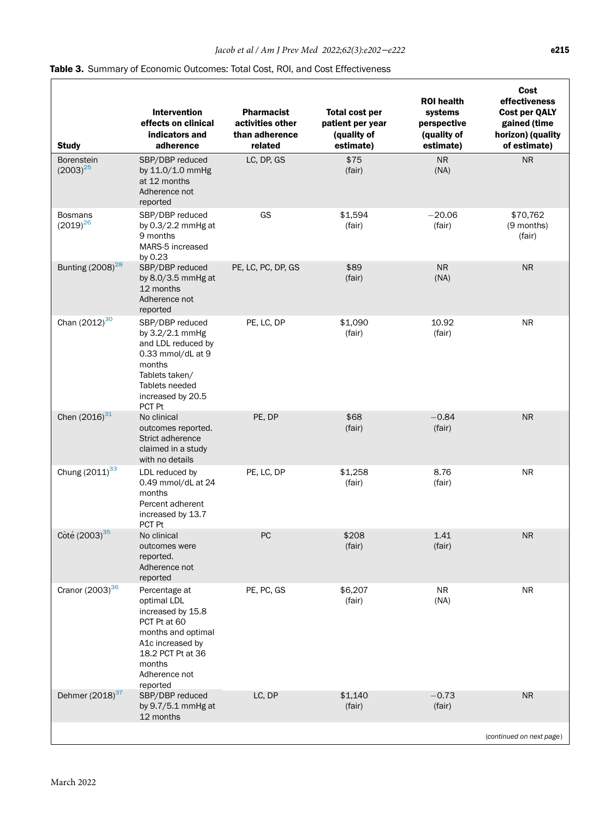## <span id="page-13-0"></span>Table 3. Summary of Economic Outcomes: Total Cost, ROI, and Cost Effectiveness

| <b>Study</b>                    | <b>Intervention</b><br>effects on clinical<br>indicators and<br>adherence                                                                                               | <b>Pharmacist</b><br>activities other<br>than adherence<br>related | <b>Total cost per</b><br>patient per year<br>(quality of<br>estimate) | <b>ROI</b> health<br>systems<br>perspective<br>(quality of<br>estimate) | Cost<br>effectiveness<br><b>Cost per QALY</b><br>gained (time<br>horizon) (quality<br>of estimate) |
|---------------------------------|-------------------------------------------------------------------------------------------------------------------------------------------------------------------------|--------------------------------------------------------------------|-----------------------------------------------------------------------|-------------------------------------------------------------------------|----------------------------------------------------------------------------------------------------|
| Borenstein<br>$(2003)^{25}$     | SBP/DBP reduced<br>by 11.0/1.0 mmHg<br>at 12 months<br>Adherence not<br>reported                                                                                        | LC, DP, GS                                                         | \$75<br>(fair)                                                        | <b>NR</b><br>(NA)                                                       | <b>NR</b>                                                                                          |
| <b>Bosmans</b><br>$(2019)^{26}$ | SBP/DBP reduced<br>by $0.3/2.2$ mmHg at<br>9 months<br>MARS-5 increased<br>by 0.23                                                                                      | GS                                                                 | \$1,594<br>(fair)                                                     | $-20.06$<br>(fair)                                                      | \$70,762<br>(9 months)<br>(fair)                                                                   |
| Bunting (2008) <sup>28</sup>    | SBP/DBP reduced<br>by 8.0/3.5 mmHg at<br>12 months<br>Adherence not<br>reported                                                                                         | PE, LC, PC, DP, GS                                                 | \$89<br>(fair)                                                        | NR<br>(NA)                                                              | <b>NR</b>                                                                                          |
| Chan (2012) <sup>30</sup>       | SBP/DBP reduced<br>by 3.2/2.1 mmHg<br>and LDL reduced by<br>0.33 mmol/dL at 9<br>months<br>Tablets taken/<br>Tablets needed<br>increased by 20.5<br>PCT Pt              | PE, LC, DP                                                         | \$1,090<br>(fair)                                                     | 10.92<br>(fair)                                                         | <b>NR</b>                                                                                          |
| Chen $(2016)^{31}$              | No clinical<br>outcomes reported.<br>Strict adherence<br>claimed in a study<br>with no details                                                                          | PE, DP                                                             | \$68<br>(fair)                                                        | $-0.84$<br>(fair)                                                       | <b>NR</b>                                                                                          |
| Chung (2011) <sup>33</sup>      | LDL reduced by<br>0.49 mmol/dL at 24<br>months<br>Percent adherent<br>increased by 13.7<br>PCT Pt                                                                       | PE, LC, DP                                                         | \$1,258<br>(fair)                                                     | 8.76<br>(fair)                                                          | NR                                                                                                 |
| Côté (2003) <sup>35</sup>       | No clinical<br>outcomes were<br>reported.<br>Adherence not<br>reported                                                                                                  | PC                                                                 | \$208<br>(fair)                                                       | 1.41<br>(fair)                                                          | <b>NR</b>                                                                                          |
| Cranor (2003) <sup>36</sup>     | Percentage at<br>optimal LDL<br>increased by 15.8<br>PCT Pt at 60<br>months and optimal<br>A1c increased by<br>18.2 PCT Pt at 36<br>months<br>Adherence not<br>reported | PE, PC, GS                                                         | \$6,207<br>(fair)                                                     | <b>NR</b><br>(NA)                                                       | <b>NR</b>                                                                                          |
| Dehmer (2018) <sup>37</sup>     | SBP/DBP reduced<br>by 9.7/5.1 mmHg at<br>12 months                                                                                                                      | LC, DP                                                             | \$1,140<br>(fair)                                                     | $-0.73$<br>(fair)                                                       | <b>NR</b>                                                                                          |
|                                 |                                                                                                                                                                         |                                                                    |                                                                       |                                                                         | (continued on next page)                                                                           |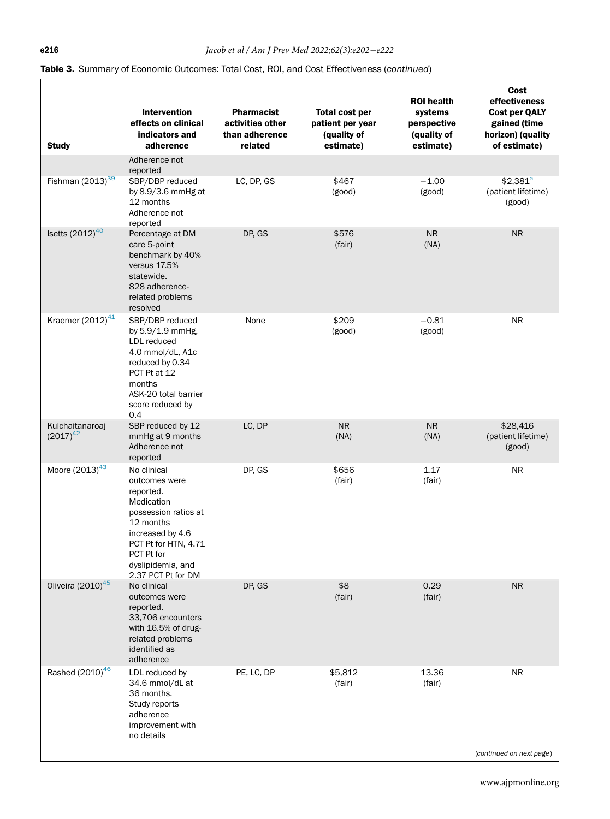# Table 3. Summary of Economic Outcomes: Total Cost, ROI, and Cost Effectiveness (continued)

| <b>Study</b>                     | <b>Intervention</b><br>effects on clinical<br>indicators and<br>adherence                                                                                                                         | <b>Pharmacist</b><br>activities other<br>than adherence<br>related | <b>Total cost per</b><br>patient per year<br>(quality of<br>estimate) | <b>ROI</b> health<br>systems<br>perspective<br>(quality of<br>estimate) | Cost<br>effectiveness<br><b>Cost per QALY</b><br>gained (time<br>horizon) (quality<br>of estimate) |
|----------------------------------|---------------------------------------------------------------------------------------------------------------------------------------------------------------------------------------------------|--------------------------------------------------------------------|-----------------------------------------------------------------------|-------------------------------------------------------------------------|----------------------------------------------------------------------------------------------------|
|                                  | Adherence not<br>reported                                                                                                                                                                         |                                                                    |                                                                       |                                                                         |                                                                                                    |
| Fishman $(2013)^{39}$            | SBP/DBP reduced<br>by $8.9/3.6$ mmHg at<br>12 months<br>Adherence not<br>reported                                                                                                                 | LC, DP, GS                                                         | \$467<br>(good)                                                       | $-1.00$<br>(good)                                                       | $$2,381^a$<br>(patient lifetime)<br>(good)                                                         |
| Isetts $(2012)^{40}$             | Percentage at DM<br>care 5-point<br>benchmark by 40%<br>versus 17.5%<br>statewide.<br>828 adherence-<br>related problems<br>resolved                                                              | DP, GS                                                             | \$576<br>(fair)                                                       | NR<br>(NA)                                                              | <b>NR</b>                                                                                          |
| Kraemer $(2012)^{41}$            | SBP/DBP reduced<br>by 5.9/1.9 mmHg,<br>LDL reduced<br>4.0 mmol/dL, A1c<br>reduced by 0.34<br>PCT Pt at 12<br>months<br>ASK-20 total barrier<br>score reduced by<br>0.4                            | None                                                               | \$209<br>(good)                                                       | $-0.81$<br>(good)                                                       | <b>NR</b>                                                                                          |
| Kulchaitanaroaj<br>$(2017)^{42}$ | SBP reduced by 12<br>mmHg at 9 months<br>Adherence not<br>reported                                                                                                                                | LC, DP                                                             | <b>NR</b><br>(NA)                                                     | <b>NR</b><br>(NA)                                                       | \$28,416<br>(patient lifetime)<br>(good)                                                           |
| Moore $(2013)^{43}$              | No clinical<br>outcomes were<br>reported.<br>Medication<br>possession ratios at<br>12 months<br>increased by 4.6<br>PCT Pt for HTN, 4.71<br>PCT Pt for<br>dyslipidemia, and<br>2.37 PCT Pt for DM | DP, GS                                                             | \$656<br>(fair)                                                       | 1.17<br>(fair)                                                          | NR.                                                                                                |
| Oliveira (2010) <sup>45</sup>    | No clinical<br>outcomes were<br>reported.<br>33,706 encounters<br>with 16.5% of drug-<br>related problems<br>identified as<br>adherence                                                           | DP, GS                                                             | \$8<br>(fair)                                                         | 0.29<br>(fair)                                                          | <b>NR</b>                                                                                          |
| Rashed (2010) <sup>46</sup>      | LDL reduced by<br>34.6 mmol/dL at<br>36 months.<br>Study reports<br>adherence<br>improvement with<br>no details                                                                                   | PE, LC, DP                                                         | \$5,812<br>(fair)                                                     | 13.36<br>(fair)                                                         | <b>NR</b>                                                                                          |
|                                  |                                                                                                                                                                                                   |                                                                    |                                                                       |                                                                         | (continued on next page)                                                                           |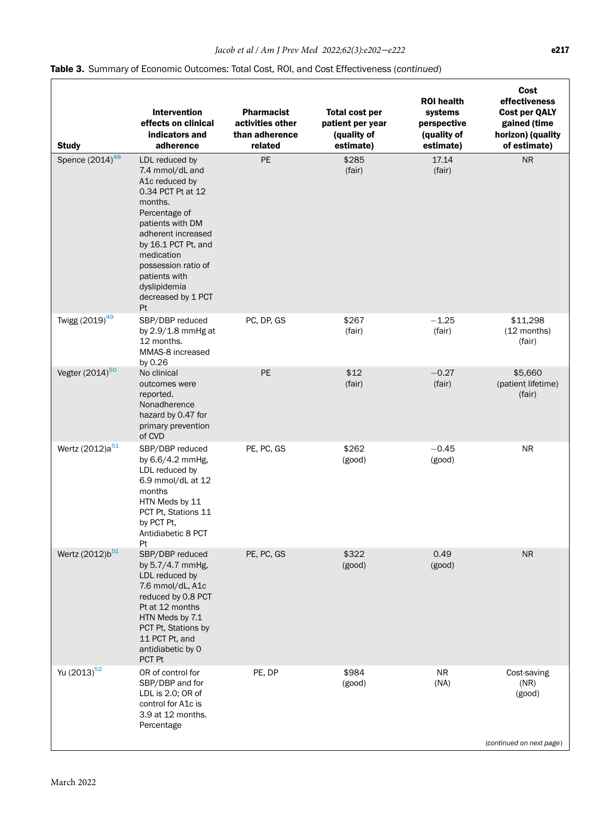## Table 3. Summary of Economic Outcomes: Total Cost, ROI, and Cost Effectiveness (continued)

| <b>Study</b>                    | <b>Intervention</b><br>effects on clinical<br>indicators and<br>adherence                                                                                                                                                                                               | <b>Pharmacist</b><br>activities other<br>than adherence<br>related | <b>Total cost per</b><br>patient per year<br>(quality of<br>estimate) | <b>ROI</b> health<br>systems<br>perspective<br>(quality of<br>estimate) | Cost<br>effectiveness<br><b>Cost per QALY</b><br>gained (time<br>horizon) (quality<br>of estimate) |
|---------------------------------|-------------------------------------------------------------------------------------------------------------------------------------------------------------------------------------------------------------------------------------------------------------------------|--------------------------------------------------------------------|-----------------------------------------------------------------------|-------------------------------------------------------------------------|----------------------------------------------------------------------------------------------------|
| Spence $(20\overline{14})^{48}$ | LDL reduced by<br>7.4 mmol/dL and<br>A1c reduced by<br>0.34 PCT Pt at 12<br>months.<br>Percentage of<br>patients with DM<br>adherent increased<br>by 16.1 PCT Pt, and<br>medication<br>possession ratio of<br>patients with<br>dyslipidemia<br>decreased by 1 PCT<br>Pt | PE                                                                 | \$285<br>(fair)                                                       | 17.14<br>(fair)                                                         | <b>NR</b>                                                                                          |
| Twigg (2019) <sup>49</sup>      | SBP/DBP reduced<br>by 2.9/1.8 mmHg at<br>12 months.<br>MMAS-8 increased<br>by 0.26                                                                                                                                                                                      | PC, DP, GS                                                         | \$267<br>(fair)                                                       | $-1.25$<br>(fair)                                                       | \$11,298<br>(12 months)<br>(fair)                                                                  |
| Vegter (2014) <sup>50</sup>     | No clinical<br>outcomes were<br>reported.<br>Nonadherence<br>hazard by 0.47 for<br>primary prevention<br>of CVD                                                                                                                                                         | <b>PE</b>                                                          | \$12<br>(fair)                                                        | $-0.27$<br>(fair)                                                       | \$5,660<br>(patient lifetime)<br>(fair)                                                            |
| Wertz (2012)a <sup>51</sup>     | SBP/DBP reduced<br>by 6.6/4.2 mmHg,<br>LDL reduced by<br>6.9 mmol/dL at 12<br>months<br>HTN Meds by 11<br>PCT Pt, Stations 11<br>by PCT Pt,<br>Antidiabetic 8 PCT<br>Pt                                                                                                 | PE, PC, GS                                                         | \$262<br>(good)                                                       | $-0.45$<br>(good)                                                       | <b>NR</b>                                                                                          |
| Wertz (2012)b <sup>51</sup>     | SBP/DBP reduced<br>by 5.7/4.7 mmHg,<br>LDL reduced by<br>7.6 mmol/dL, A1c<br>reduced by 0.8 PCT<br>Pt at 12 months<br>HTN Meds by 7.1<br>PCT Pt, Stations by<br>11 PCT Pt, and<br>antidiabetic by 0<br>PCT Pt                                                           | PE, PC, GS                                                         | \$322<br>(good)                                                       | 0.49<br>(good)                                                          | <b>NR</b>                                                                                          |
| Yu (2013) <sup>52</sup>         | OR of control for<br>SBP/DBP and for<br>LDL is 2.0; OR of<br>control for A1c is<br>3.9 at 12 months.<br>Percentage                                                                                                                                                      | PE, DP                                                             | \$984<br>(good)                                                       | <b>NR</b><br>(NA)                                                       | Cost-saving<br>(NR)<br>(good)<br>(continued on next page)                                          |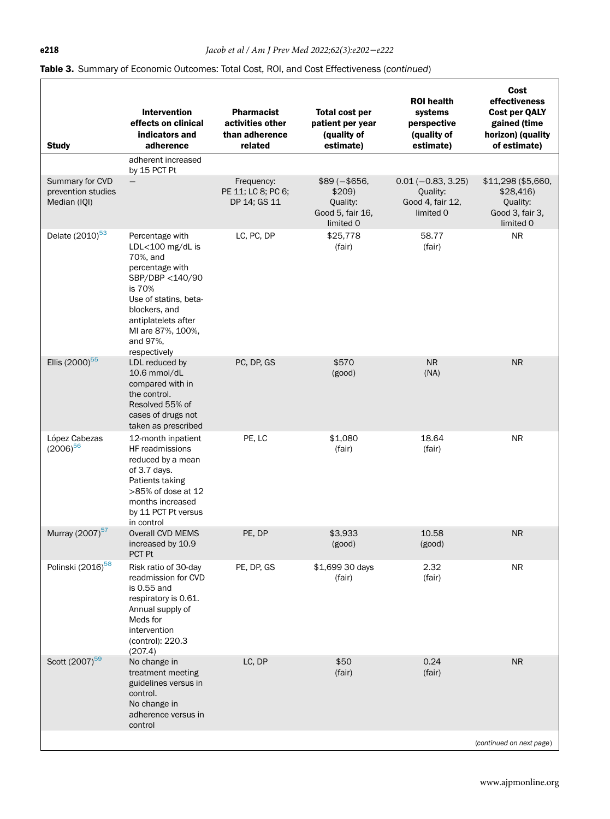## Table 3. Summary of Economic Outcomes: Total Cost, ROI, and Cost Effectiveness (continued)

| <b>Study</b>                                          | <b>Intervention</b><br>effects on clinical<br>indicators and<br>adherence                                                                                                                                         | <b>Pharmacist</b><br>activities other<br>than adherence<br>related | <b>Total cost per</b><br>patient per year<br>(quality of<br>estimate) | <b>ROI</b> health<br>systems<br>perspective<br>(quality of<br>estimate) | Cost<br>effectiveness<br><b>Cost per QALY</b><br>gained (time<br>horizon) (quality<br>of estimate) |
|-------------------------------------------------------|-------------------------------------------------------------------------------------------------------------------------------------------------------------------------------------------------------------------|--------------------------------------------------------------------|-----------------------------------------------------------------------|-------------------------------------------------------------------------|----------------------------------------------------------------------------------------------------|
|                                                       | adherent increased<br>by 15 PCT Pt                                                                                                                                                                                |                                                                    |                                                                       |                                                                         |                                                                                                    |
| Summary for CVD<br>prevention studies<br>Median (IQI) |                                                                                                                                                                                                                   | Frequency:<br>PE 11; LC 8; PC 6;<br>DP 14; GS 11                   | $$89 (- $656,$<br>\$209<br>Quality:<br>Good 5, fair 16,<br>limited 0  | $0.01 (-0.83, 3.25)$<br>Quality:<br>Good 4, fair 12,<br>limited 0       | \$11,298 (\$5,660,<br>\$28,416<br>Quality:<br>Good 3, fair 3,<br>limited 0                         |
| Delate (2010) <sup>53</sup>                           | Percentage with<br>LDL<100 mg/dL is<br>70%, and<br>percentage with<br>SBP/DBP <140/90<br>is 70%<br>Use of statins, beta-<br>blockers, and<br>antiplatelets after<br>MI are 87%, 100%,<br>and 97%.<br>respectively | LC, PC, DP                                                         | \$25,778<br>(fair)                                                    | 58.77<br>(fair)                                                         | <b>NR</b>                                                                                          |
| Ellis (2000) <sup>55</sup>                            | LDL reduced by<br>10.6 mmol/dL<br>compared with in<br>the control.<br>Resolved 55% of<br>cases of drugs not<br>taken as prescribed                                                                                | PC, DP, GS                                                         | \$570<br>(good)                                                       | <b>NR</b><br>(NA)                                                       | <b>NR</b>                                                                                          |
| López Cabezas<br>$(2006)^{56}$                        | 12-month inpatient<br>HF readmissions<br>reduced by a mean<br>of 3.7 days.<br>Patients taking<br>>85% of dose at 12<br>months increased<br>by 11 PCT Pt versus<br>in control                                      | PE, LC                                                             | \$1,080<br>(fair)                                                     | 18.64<br>(fair)                                                         | NR.                                                                                                |
| Murray (2007) <sup>57</sup>                           | Overall CVD MEMS<br>increased by 10.9<br>PCT Pt                                                                                                                                                                   | PE, DP                                                             | \$3,933<br>(good)                                                     | 10.58<br>(good)                                                         | <b>NR</b>                                                                                          |
| Polinski (2016) <sup>58</sup>                         | Risk ratio of 30-day<br>readmission for CVD<br>is 0.55 and<br>respiratory is 0.61.<br>Annual supply of<br>Meds for<br>intervention<br>(control): 220.3<br>(207.4)                                                 | PE, DP, GS                                                         | \$1,699 30 days<br>(fair)                                             | 2.32<br>(fair)                                                          | <b>NR</b>                                                                                          |
| Scott (2007) <sup>59</sup>                            | No change in<br>treatment meeting<br>guidelines versus in<br>control.<br>No change in<br>adherence versus in<br>control                                                                                           | LC, DP                                                             | \$50<br>(fair)                                                        | 0.24<br>(fair)                                                          | <b>NR</b>                                                                                          |
|                                                       |                                                                                                                                                                                                                   |                                                                    |                                                                       |                                                                         | (continued on next page)                                                                           |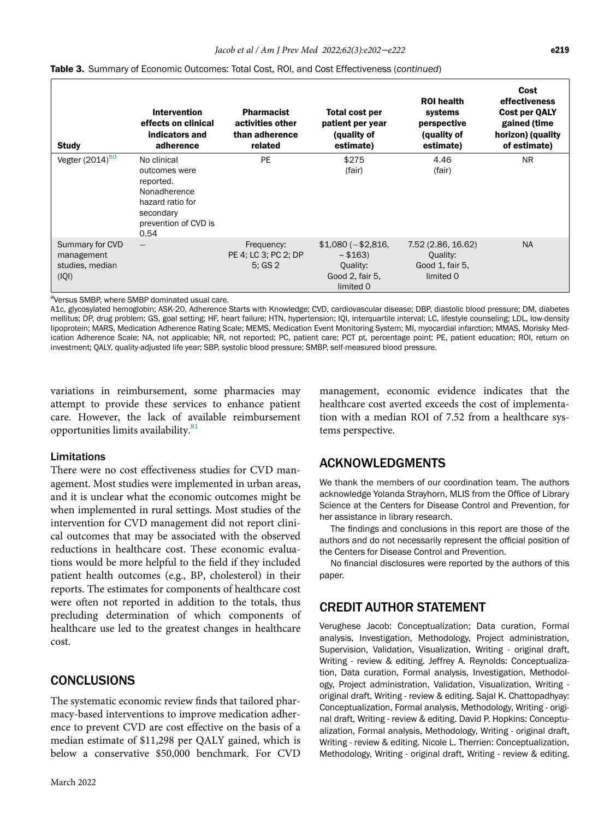| <b>Study</b>                                              | <b>Intervention</b><br>effects on clinical<br>indicators and<br>adherence                                                  | <b>Pharmacist</b><br>activities other<br>than adherence<br>related | Total cost per<br>patient per year<br>(quality of<br>estimate)              | <b>ROI</b> health<br>systems<br>perspective<br>(quality of<br>estimate) | Cost<br>effectiveness<br><b>Cost per QALY</b><br>gained (time<br>horizon) (quality<br>of estimate) |
|-----------------------------------------------------------|----------------------------------------------------------------------------------------------------------------------------|--------------------------------------------------------------------|-----------------------------------------------------------------------------|-------------------------------------------------------------------------|----------------------------------------------------------------------------------------------------|
| Vegter (2014) <sup>50</sup>                               | No clinical<br>outcomes were<br>reported.<br>Nonadherence<br>hazard ratio for<br>secondary<br>prevention of CVD is<br>0.54 | <b>PE</b>                                                          | \$275<br>(fair)                                                             | 4.46<br>(fair)                                                          | <b>NR</b>                                                                                          |
| Summary for CVD<br>management<br>studies, median<br>(IQI) | $\qquad \qquad -$                                                                                                          | Frequency:<br>PE 4; LC 3; PC 2; DP<br>5:GS2                        | $$1,080 (- $2,816,$<br>$- $163$<br>Quality:<br>Good 2, fair 5,<br>limited 0 | 7.52 (2.86, 16.62)<br>Quality:<br>Good 1, fair 5,<br>limited 0          | <b>NA</b>                                                                                          |

<span id="page-17-0"></span><sup>a</sup>Versus SMBP, where SMBP dominated usual care.

A1c, glycosylated hemoglobin; ASK-20, Adherence Starts with Knowledge; CVD, cardiovascular disease; DBP, diastolic blood pressure; DM, diabetes mellitus; DP, drug problem; GS, goal setting; HF, heart failure; HTN, hypertension; IQI, interquartile interval; LC, lifestyle counseling; LDL, low-density lipoprotein; MARS, Medication Adherence Rating Scale; MEMS, Medication Event Monitoring System; MI, myocardial infarction; MMAS, Morisky Medication Adherence Scale; NA, not applicable; NR, not reported; PC, patient care; PCT pt, percentage point; PE, patient education; ROI, return on investment; QALY, quality-adjusted life year; SBP, systolic blood pressure; SMBP, self-measured blood pressure.

variations in reimbursement, some pharmacies may attempt to provide these services to enhance patient care. However, the lack of available reimbursement opportunities limits availability.<sup>[81](#page-20-13)</sup>

# management, economic evidence indicates that the healthcare cost averted exceeds the cost of implementation with a median ROI of 7.52 from a healthcare systems perspective.

#### Limitations

There were no cost effectiveness studies for CVD management. Most studies were implemented in urban areas, and it is unclear what the economic outcomes might be when implemented in rural settings. Most studies of the intervention for CVD management did not report clinical outcomes that may be associated with the observed reductions in healthcare cost. These economic evaluations would be more helpful to the field if they included patient health outcomes (e.g., BP, cholesterol) in their reports. The estimates for components of healthcare cost were often not reported in addition to the totals, thus precluding determination of which components of healthcare use led to the greatest changes in healthcare cost.

# **CONCLUSIONS**

The systematic economic review finds that tailored pharmacy-based interventions to improve medication adherence to prevent CVD are cost effective on the basis of a median estimate of \$11,298 per QALY gained, which is below a conservative \$50,000 benchmark. For CVD

We thank the members of our coordination team. The authors acknowledge Yolanda Strayhorn, MLIS from the Office of Library Science at the Centers for Disease Control and Prevention, for her assistance in library research.

The findings and conclusions in this report are those of the authors and do not necessarily represent the official position of the Centers for Disease Control and Prevention.

No financial disclosures were reported by the authors of this paper.

# CREDIT AUTHOR STATEMENT

ACKNOWLEDGMENTS

Verughese Jacob: Conceptualization; Data curation, Formal analysis, Investigation, Methodology, Project administration, Supervision, Validation, Visualization, Writing - original draft, Writing - review & editing. Jeffrey A. Reynolds: Conceptualization, Data curation, Formal analysis, Investigation, Methodology, Project administration, Validation, Visualization, Writing original draft, Writing - review & editing. Sajal K. Chattopadhyay: Conceptualization, Formal analysis, Methodology, Writing - original draft, Writing - review & editing. David P. Hopkins: Conceptualization, Formal analysis, Methodology, Writing - original draft, Writing - review & editing. Nicole L. Therrien: Conceptualization, Methodology, Writing - original draft, Writing - review & editing.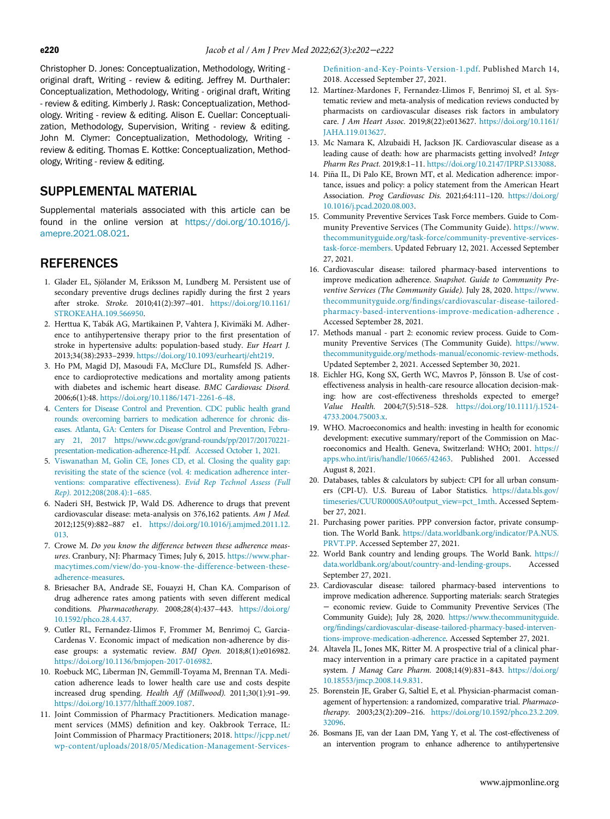<span id="page-18-23"></span><span id="page-18-22"></span><span id="page-18-21"></span><span id="page-18-8"></span>Christopher D. Jones: Conceptualization, Methodology, Writing original draft, Writing - review & editing. Jeffrey M. Durthaler: Conceptualization, Methodology, Writing - original draft, Writing - review & editing. Kimberly J. Rask: Conceptualization, Methodology. Writing - review & editing. Alison E. Cuellar: Conceptualization, Methodology, Supervision, Writing - review & editing. John M. Clymer: Conceptualization, Methodology, Writing review & editing. Thomas E. Kottke: Conceptualization, Methodology, Writing - review & editing.

# SUPPLEMENTAL MATERIAL

<span id="page-18-9"></span>Supplemental materials associated with this article can be found in the online version at [https://doi.org/10.1016/j.](https://doi.org/10.1016/j.amepre.2021.08.021) [amepre.2021.08.021](https://doi.org/10.1016/j.amepre.2021.08.021).

## <span id="page-18-10"></span>**REFERENCES**

- <span id="page-18-0"></span>1. Glader EL, Sjölander M, Eriksson M, Lundberg M. Persistent use of secondary preventive drugs declines rapidly during the first 2 years after stroke. Stroke. 2010;41(2):397–401. [https://doi.org/10.1161/](https://doi.org/10.1161/STROKEAHA.109.566950) [STROKEAHA.109.566950.](https://doi.org/10.1161/STROKEAHA.109.566950)
- <span id="page-18-11"></span>2. Herttua K, Tabák AG, Martikainen P, Vahtera J, Kivimäki M. Adherence to antihypertensive therapy prior to the first presentation of stroke in hypertensive adults: population-based study. Eur Heart J. 2013;34(38):2933–2939. [https://doi.org/10.1093/eurheartj/eht219.](https://doi.org/10.1093/eurheartj/eht219)
- <span id="page-18-12"></span>3. Ho PM, Magid DJ, Masoudi FA, McClure DL, Rumsfeld JS. Adherence to cardioprotective medications and mortality among patients with diabetes and ischemic heart disease. BMC Cardiovasc Disord. 2006;6(1):48. [https://doi.org/10.1186/1471-2261-6-48.](https://doi.org/10.1186/1471-2261-6-48)
- <span id="page-18-13"></span><span id="page-18-1"></span>4. [Centers for Disease Control and Prevention. CDC public health grand](http://refhub.elsevier.com/S0749-3797(21)00507-9/sbref0004) [rounds: overcoming barriers to medication adherence for chronic dis](http://refhub.elsevier.com/S0749-3797(21)00507-9/sbref0004)[eases. Atlanta, GA: Centers for Disease Control and Prevention, Febru](http://refhub.elsevier.com/S0749-3797(21)00507-9/sbref0004)[ary 21, 2017 https://www.cdc.gov/grand-rounds/pp/2017/20170221](http://refhub.elsevier.com/S0749-3797(21)00507-9/sbref0004) [presentation-medication-adherence-H.pdf. Accessed October 1, 2021.](http://refhub.elsevier.com/S0749-3797(21)00507-9/sbref0004)
- <span id="page-18-14"></span>5. [Viswanathan M, Golin CE, Jones CD, et al. Closing the quality gap:](http://refhub.elsevier.com/S0749-3797(21)00507-9/sbref0005) [revisiting the state of the science \(vol. 4: medication adherence inter](http://refhub.elsevier.com/S0749-3797(21)00507-9/sbref0005)[ventions: comparative effectiveness\).](http://refhub.elsevier.com/S0749-3797(21)00507-9/sbref0005) Evid Rep Technol Assess (Full Rep). [2012;208\(208.4\):1](http://refhub.elsevier.com/S0749-3797(21)00507-9/sbref0005)–685.
- <span id="page-18-15"></span><span id="page-18-4"></span>6. Naderi SH, Bestwick JP, Wald DS. Adherence to drugs that prevent cardiovascular disease: meta-analysis on 376,162 patients. Am J Med. 2012;125(9):882–887 e1. [https://doi.org/10.1016/j.amjmed.2011.12.](https://doi.org/10.1016/j.amjmed.2011.12.013) [013.](https://doi.org/10.1016/j.amjmed.2011.12.013)
- <span id="page-18-16"></span><span id="page-18-2"></span>7. Crowe M. Do you know the difference between these adherence measures. Cranbury, NJ: Pharmacy Times; July 6, 2015. [https://www.phar](https://www.pharmacytimes.com/view/do-you-know-the-difference-between-these-adherence-measures)[macytimes.com/view/do-you-know-the-difference-between-these](https://www.pharmacytimes.com/view/do-you-know-the-difference-between-these-adherence-measures)[adherence-measures](https://www.pharmacytimes.com/view/do-you-know-the-difference-between-these-adherence-measures).
- <span id="page-18-17"></span><span id="page-18-3"></span>8. Briesacher BA, Andrade SE, Fouayzi H, Chan KA. Comparison of drug adherence rates among patients with seven different medical conditions. Pharmacotherapy. 2008;28(4):437–443. [https://doi.org/](https://doi.org/10.1592/phco.28.4.437) [10.1592/phco.28.4.437.](https://doi.org/10.1592/phco.28.4.437)
- <span id="page-18-18"></span><span id="page-18-5"></span>9. Cutler RL, Fernandez-Llimos F, Frommer M, Benrimoj C, Garcia-Cardenas V. Economic impact of medication non-adherence by disease groups: a systematic review. BMJ Open. 2018;8(1):e016982. [https://doi.org/10.1136/bmjopen-2017-016982.](https://doi.org/10.1136/bmjopen-2017-016982)
- <span id="page-18-19"></span><span id="page-18-6"></span>10. Roebuck MC, Liberman JN, Gemmill-Toyama M, Brennan TA. Medication adherence leads to lower health care use and costs despite increased drug spending. Health Aff (Millwood). 2011;30(1):91–99. [https://doi.org/10.1377/hlthaff.2009.1087.](https://doi.org/10.1377/hlthaff.2009.1087)
- <span id="page-18-20"></span><span id="page-18-7"></span>11. Joint Commission of Pharmacy Practitioners. Medication management services (MMS) definition and key. Oakbrook Terrace, IL: Joint Commission of Pharmacy Practitioners; 2018. [https://jcpp.net/](https://jcpp.net/wp-content/uploads/2018/05/Medication-Management-Services-Definition-and-Key-Points-Version-1.pdf) [wp-content/uploads/2018/05/Medication-Management-Services-](https://jcpp.net/wp-content/uploads/2018/05/Medication-Management-Services-Definition-and-Key-Points-Version-1.pdf)

Defi[nition-and-Key-Points-Version-1.pdf.](https://jcpp.net/wp-content/uploads/2018/05/Medication-Management-Services-Definition-and-Key-Points-Version-1.pdf) Published March 14, 2018. Accessed September 27, 2021.

- 12. Martínez-Mardones F, Fernandez-Llimos F, Benrimoj SI, et al. Systematic review and meta-analysis of medication reviews conducted by pharmacists on cardiovascular diseases risk factors in ambulatory care. J Am Heart Assoc. 2019;8(22):e013627. [https://doi.org/10.1161/](https://doi.org/10.1161/JAHA.119.013627) [JAHA.119.013627.](https://doi.org/10.1161/JAHA.119.013627)
- 13. Mc Namara K, Alzubaidi H, Jackson JK. Cardiovascular disease as a leading cause of death: how are pharmacists getting involved? Integr Pharm Res Pract. 2019;8:1–11. [https://doi.org/10.2147/IPRP.S133088.](https://doi.org/10.2147/IPRP.S133088)
- 14. Piña IL, Di Palo KE, Brown MT, et al. Medication adherence: importance, issues and policy: a policy statement from the American Heart Association. Prog Cardiovasc Dis. 2021;64:111–120. [https://doi.org/](https://doi.org/10.1016/j.pcad.2020.08.003) [10.1016/j.pcad.2020.08.003.](https://doi.org/10.1016/j.pcad.2020.08.003)
- 15. Community Preventive Services Task Force members. Guide to Community Preventive Services (The Community Guide). [https://www.](https://www.thecommunityguide.org/task-force/community-preventive-services-task-force-members) [thecommunityguide.org/task-force/community-preventive-services](https://www.thecommunityguide.org/task-force/community-preventive-services-task-force-members)[task-force-members](https://www.thecommunityguide.org/task-force/community-preventive-services-task-force-members). Updated February 12, 2021. Accessed September 27, 2021.
- 16. Cardiovascular disease: tailored pharmacy-based interventions to improve medication adherence. Snapshot. Guide to Community Preventive Services (The Community Guide). July 28, 2020. [https://www.](https://www.thecommunityguide.org/findings/cardiovascular-disease-tailored-pharmacy-based-interventions-improve-medication-adherence) thecommunityguide.org/fi[ndings/cardiovascular-disease-tailored](https://www.thecommunityguide.org/findings/cardiovascular-disease-tailored-pharmacy-based-interventions-improve-medication-adherence)[pharmacy-based-interventions-improve-medication-adherence](https://www.thecommunityguide.org/findings/cardiovascular-disease-tailored-pharmacy-based-interventions-improve-medication-adherence) . Accessed September 28, 2021.
- 17. Methods manual part 2: economic review process. Guide to Community Preventive Services (The Community Guide). [https://www.](https://www.thecommunityguide.org/methods-manual/economic-review-methods) [thecommunityguide.org/methods-manual/economic-review-methods.](https://www.thecommunityguide.org/methods-manual/economic-review-methods) Updated September 2, 2021. Accessed September 30, 2021.
- 18. Eichler HG, Kong SX, Gerth WC, Mavros P, Jönsson B. Use of costeffectiveness analysis in health-care resource allocation decision-making: how are cost-effectiveness thresholds expected to emerge? Value Health. 2004;7(5):518–528. [https://doi.org/10.1111/j.1524-](https://doi.org/10.1111/j.1524-4733.2004.75003.x) [4733.2004.75003.x.](https://doi.org/10.1111/j.1524-4733.2004.75003.x)
- 19. WHO. Macroeconomics and health: investing in health for economic development: executive summary/report of the Commission on Macroeconomics and Health. Geneva, Switzerland: WHO; 2001. [https://](https://apps.who.int/iris/handle/10665/42463) [apps.who.int/iris/handle/10665/42463.](https://apps.who.int/iris/handle/10665/42463) Published 2001. Accessed August 8, 2021.
- 20. Databases, tables & calculators by subject: CPI for all urban consumers (CPI-U). U.S. Bureau of Labor Statistics. [https://data.bls.gov/](https://data.bls.gov/timeseries/CUUR0000SA0?output_view=pct_1mth) [timeseries/CUUR0000SA0?output\\_view=pct\\_1mth.](https://data.bls.gov/timeseries/CUUR0000SA0?output_view=pct_1mth) Accessed September 27, 2021.
- 21. Purchasing power parities. PPP conversion factor, private consumption. The World Bank. [https://data.worldbank.org/indicator/PA.NUS.](https://data.worldbank.org/indicator/PA.NUS.PRVT.PP) [PRVT.PP.](https://data.worldbank.org/indicator/PA.NUS.PRVT.PP) Accessed September 27, 2021.
- 22. World Bank country and lending groups. The World Bank. [https://](https://data.worldbank.org/about/country-and-lending-groups) [data.worldbank.org/about/country-and-lending-groups](https://data.worldbank.org/about/country-and-lending-groups). Accessed September 27, 2021.
- 23. Cardiovascular disease: tailored pharmacy-based interventions to improve medication adherence. Supporting materials: search Strategies − economic review. Guide to Community Preventive Services (The Community Guide); July 28, 2020. [https://www.thecommunityguide.](https://www.thecommunityguide.org/findings/cardiovascular-disease-tailored-pharmacy-based-interventions-improve-medication-adherence) org/fi[ndings/cardiovascular-disease-tailored-pharmacy-based-interven](https://www.thecommunityguide.org/findings/cardiovascular-disease-tailored-pharmacy-based-interventions-improve-medication-adherence)[tions-improve-medication-adherence](https://www.thecommunityguide.org/findings/cardiovascular-disease-tailored-pharmacy-based-interventions-improve-medication-adherence). Accessed September 27, 2021.
- 24. Altavela JL, Jones MK, Ritter M. A prospective trial of a clinical pharmacy intervention in a primary care practice in a capitated payment system. J Manag Care Pharm. 2008;14(9):831–843. [https://doi.org/](https://doi.org/10.18553/jmcp.2008.14.9.831) [10.18553/jmcp.2008.14.9.831.](https://doi.org/10.18553/jmcp.2008.14.9.831)
- 25. Borenstein JE, Graber G, Saltiel E, et al. Physician-pharmacist comanagement of hypertension: a randomized, comparative trial. Pharmacotherapy. 2003;23(2):209–216. [https://doi.org/10.1592/phco.23.2.209.](https://doi.org/10.1592/phco.23.2.209.32096) [32096.](https://doi.org/10.1592/phco.23.2.209.32096)
- 26. Bosmans JE, van der Laan DM, Yang Y, et al. The cost-effectiveness of an intervention program to enhance adherence to antihypertensive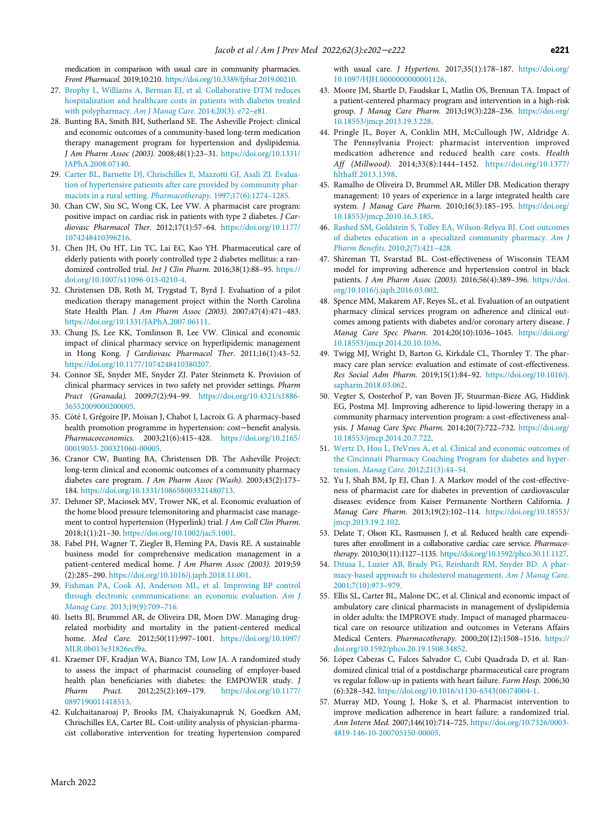<span id="page-19-61"></span><span id="page-19-60"></span><span id="page-19-46"></span><span id="page-19-45"></span>medication in comparison with usual care in community pharmacies. Front Pharmacol. 2019;10:210. [https://doi.org/10.3389/fphar.2019.00210.](https://doi.org/10.3389/fphar.2019.00210)

- <span id="page-19-25"></span><span id="page-19-8"></span>27. [Brophy L, Williams A, Berman EJ, et al. Collaborative DTM reduces](http://refhub.elsevier.com/S0749-3797(21)00507-9/sbref0027) [hospitalization and healthcare costs in patients with diabetes treated](http://refhub.elsevier.com/S0749-3797(21)00507-9/sbref0027) [with polypharmacy.](http://refhub.elsevier.com/S0749-3797(21)00507-9/sbref0027) Am J Manag Care. 2014;20(3). e72-e81.
- <span id="page-19-15"></span><span id="page-19-4"></span>28. Bunting BA, Smith BH, Sutherland SE. The Asheville Project: clinical and economic outcomes of a community-based long-term medication therapy management program for hypertension and dyslipidemia. J Am Pharm Assoc (2003). 2008;48(1):23–31. [https://doi.org/10.1331/](https://doi.org/10.1331/JAPhA.2008.07140) [JAPhA.2008.07140.](https://doi.org/10.1331/JAPhA.2008.07140)
- <span id="page-19-30"></span><span id="page-19-16"></span>29. [Carter BL, Barnette DJ, Chrischilles E, Mazzotti GJ, Asali ZJ. Evalua](http://refhub.elsevier.com/S0749-3797(21)00507-9/sbref0029)[tion of hypertensive patiesnts after care provided by community phar](http://refhub.elsevier.com/S0749-3797(21)00507-9/sbref0029)[macists in a rural setting.](http://refhub.elsevier.com/S0749-3797(21)00507-9/sbref0029) Pharmacotherapy. 1997;17(6):1274–1285.
- <span id="page-19-5"></span><span id="page-19-2"></span>30. Chan CW, Siu SC, Wong CK, Lee VW. A pharmacist care program: positive impact on cardiac risk in patients with type 2 diabetes. J Cardiovasc Pharmacol Ther. 2012;17(1):57–64. [https://doi.org/10.1177/](https://doi.org/10.1177/1074248410396216) [1074248410396216.](https://doi.org/10.1177/1074248410396216)
- <span id="page-19-21"></span><span id="page-19-3"></span>31. Chen JH, Ou HT, Lin TC, Lai EC, Kao YH. Pharmaceutical care of elderly patients with poorly controlled type 2 diabetes mellitus: a randomized controlled trial. Int J Clin Pharm. 2016;38(1):88–95. [https://](https://doi.org/10.1007/s11096-015-0210-4) [doi.org/10.1007/s11096-015-0210-4.](https://doi.org/10.1007/s11096-015-0210-4)
- <span id="page-19-23"></span><span id="page-19-6"></span>32. Christensen DB, Roth M, Trygstad T, Byrd J. Evaluation of a pilot medication therapy management project within the North Carolina State Health Plan. J Am Pharm Assoc (2003). 2007;47(4):471–483. [https://doi.org/10.1331/JAPhA.2007.06111.](https://doi.org/10.1331/JAPhA.2007.06111)
- <span id="page-19-14"></span><span id="page-19-9"></span>33. Chung JS, Lee KK, Tomlinson B, Lee VW. Clinical and economic impact of clinical pharmacy service on hyperlipidemic management in Hong Kong. J Cardiovasc Pharmacol Ther. 2011;16(1):43–52. [https://doi.org/10.1177/1074248410380207.](https://doi.org/10.1177/1074248410380207)
- <span id="page-19-24"></span><span id="page-19-0"></span>34. Connor SE, Snyder ME, Snyder ZJ. Pater Steinmetz K. Provision of clinical pharmacy services in two safety net provider settings. Pharm Pract (Granada). 2009;7(2):94–99. [https://doi.org/10.4321/s1886-](https://doi.org/10.4321/s1886-36552009000200005) [36552009000200005.](https://doi.org/10.4321/s1886-36552009000200005)
- <span id="page-19-17"></span>35. Côté I, Grégoire JP, Moisan J, Chabot I, Lacroix G. A pharmacy-based health promotion programme in hypertension: cost−benefit analysis. Pharmacoeconomics. 2003;21(6):415–428. [https://doi.org/10.2165/](https://doi.org/10.2165/00019053-200321060-00005) [00019053-200321060-00005.](https://doi.org/10.2165/00019053-200321060-00005)
- <span id="page-19-22"></span><span id="page-19-10"></span><span id="page-19-7"></span>36. Cranor CW, Bunting BA, Christensen DB. The Asheville Project: long-term clinical and economic outcomes of a community pharmacy diabetes care program. J Am Pharm Assoc (Wash). 2003;43(2):173– 184. [https://doi.org/10.1331/108658003321480713.](https://doi.org/10.1331/108658003321480713)
- <span id="page-19-18"></span>37. Dehmer SP, Maciosek MV, Trower NK, et al. Economic evaluation of the home blood pressure telemonitoring and pharmacist case management to control hypertension (Hyperlink) trial. J Am Coll Clin Pharm. 2018;1(1):21–30. [https://doi.org/10.1002/jac5.1001.](https://doi.org/10.1002/jac5.1001)
- <span id="page-19-28"></span><span id="page-19-11"></span><span id="page-19-1"></span>38. Fabel PH, Wagner T, Ziegler B, Fleming PA, Davis RE. A sustainable business model for comprehensive medication management in a patient-centered medical home. J Am Pharm Assoc (2003). 2019;59 (2):285–290. [https://doi.org/10.1016/j.japh.2018.11.001.](https://doi.org/10.1016/j.japh.2018.11.001)
- <span id="page-19-29"></span><span id="page-19-19"></span>39. [Fishman PA, Cook AJ, Anderson ML, et al. Improving BP control](http://refhub.elsevier.com/S0749-3797(21)00507-9/sbref0039) [through electronic communications: an economic evaluation.](http://refhub.elsevier.com/S0749-3797(21)00507-9/sbref0039) Am J Manag Care. [2013;19\(9\):709](http://refhub.elsevier.com/S0749-3797(21)00507-9/sbref0039)–716.
- <span id="page-19-12"></span>40. Isetts BJ, Brummel AR, de Oliveira DR, Moen DW. Managing drugrelated morbidity and mortality in the patient-centered medical home. Med Care. 2012;50(11):997–1001. [https://doi.org/10.1097/](https://doi.org/10.1097/MLR.0b013e31826ecf9a) [MLR.0b013e31826ecf9a.](https://doi.org/10.1097/MLR.0b013e31826ecf9a)
- <span id="page-19-26"></span><span id="page-19-13"></span>41. Kraemer DF, Kradjan WA, Bianco TM, Low JA. A randomized study to assess the impact of pharmacist counseling of employer-based health plan beneficiaries with diabetes: the EMPOWER study. J Pharm Pract. 2012;25(2):169–179. [https://doi.org/10.1177/](https://doi.org/10.1177/0897190011418513) [0897190011418513.](https://doi.org/10.1177/0897190011418513)
- <span id="page-19-27"></span><span id="page-19-20"></span>42. Kulchaitanaroaj P, Brooks JM, Chaiyakunapruk N, Goedken AM, Chrischilles EA, Carter BL. Cost-utility analysis of physician-pharmacist collaborative intervention for treating hypertension compared

<span id="page-19-58"></span><span id="page-19-57"></span><span id="page-19-56"></span><span id="page-19-55"></span><span id="page-19-54"></span><span id="page-19-53"></span><span id="page-19-52"></span><span id="page-19-51"></span><span id="page-19-50"></span><span id="page-19-49"></span><span id="page-19-48"></span><span id="page-19-47"></span><span id="page-19-43"></span><span id="page-19-42"></span><span id="page-19-41"></span><span id="page-19-40"></span><span id="page-19-39"></span><span id="page-19-38"></span><span id="page-19-37"></span><span id="page-19-36"></span><span id="page-19-35"></span><span id="page-19-34"></span><span id="page-19-33"></span><span id="page-19-32"></span><span id="page-19-31"></span>with usual care. J Hypertens. 2017;35(1):178–187. [https://doi.org/](https://doi.org/10.1097/HJH.0000000000001126) [10.1097/HJH.0000000000001126.](https://doi.org/10.1097/HJH.0000000000001126)

- <span id="page-19-59"></span><span id="page-19-44"></span>43. Moore JM, Shartle D, Faudskar L, Matlin OS, Brennan TA. Impact of a patient-centered pharmacy program and intervention in a high-risk group. J Manag Care Pharm. 2013;19(3):228–236. [https://doi.org/](https://doi.org/10.18553/jmcp.2013.19.3.228) [10.18553/jmcp.2013.19.3.228.](https://doi.org/10.18553/jmcp.2013.19.3.228)
- 44. Pringle JL, Boyer A, Conklin MH, McCullough JW, Aldridge A. The Pennsylvania Project: pharmacist intervention improved medication adherence and reduced health care costs. Health Aff (Millwood). 2014;33(8):1444–1452. [https://doi.org/10.1377/](https://doi.org/10.1377/hlthaff.2013.1398) [hlthaff.2013.1398.](https://doi.org/10.1377/hlthaff.2013.1398)
- 45. Ramalho de Oliveira D, Brummel AR, Miller DB. Medication therapy management: 10 years of experience in a large integrated health care system. J Manag Care Pharm. 2010;16(3):185–195. [https://doi.org/](https://doi.org/10.18553/jmcp.2010.16.3.185) [10.18553/jmcp.2010.16.3.185.](https://doi.org/10.18553/jmcp.2010.16.3.185)
- 46. [Rashed SM, Goldstein S, Tolley EA, Wilson-Relyea BJ. Cost outcomes](http://refhub.elsevier.com/S0749-3797(21)00507-9/sbref0046) [of diabetes education in a specialized community pharmacy.](http://refhub.elsevier.com/S0749-3797(21)00507-9/sbref0046) Am J Pharm Benefits. [2010;2\(7\):421](http://refhub.elsevier.com/S0749-3797(21)00507-9/sbref0046)–428.
- 47. Shireman TI, Svarstad BL. Cost-effectiveness of Wisconsin TEAM model for improving adherence and hypertension control in black patients. J Am Pharm Assoc (2003). 2016;56(4):389–396. [https://doi.](https://doi.org/10.1016/j.japh.2016.03.002) [org/10.1016/j.japh.2016.03.002.](https://doi.org/10.1016/j.japh.2016.03.002)
- 48. Spence MM, Makarem AF, Reyes SL, et al. Evaluation of an outpatient pharmacy clinical services program on adherence and clinical outcomes among patients with diabetes and/or coronary artery disease. J Manag Care Spec Pharm. 2014;20(10):1036–1045. [https://doi.org/](https://doi.org/10.18553/jmcp.2014.20.10.1036) [10.18553/jmcp.2014.20.10.1036.](https://doi.org/10.18553/jmcp.2014.20.10.1036)
- 49. Twigg MJ, Wright D, Barton G, Kirkdale CL, Thornley T. The pharmacy care plan service: evaluation and estimate of cost-effectiveness. Res Social Adm Pharm. 2019;15(1):84–92. [https://doi.org/10.1016/j.](https://doi.org/10.1016/j.sapharm.2018.03.062) [sapharm.2018.03.062.](https://doi.org/10.1016/j.sapharm.2018.03.062)
- 50. Vegter S, Oosterhof P, van Boven JF, Stuurman-Bieze AG, Hiddink EG, Postma MJ. Improving adherence to lipid-lowering therapy in a community pharmacy intervention program: a cost-effectiveness analysis. J Manag Care Spec Pharm. 2014;20(7):722–732. [https://doi.org/](https://doi.org/10.18553/jmcp.2014.20.7.722) [10.18553/jmcp.2014.20.7.722.](https://doi.org/10.18553/jmcp.2014.20.7.722)
- 51. [Wertz D, Hou L, DeVries A, et al. Clinical and economic outcomes of](http://refhub.elsevier.com/S0749-3797(21)00507-9/sbref0051) [the Cincinnati Pharmacy Coaching Program for diabetes and hyper](http://refhub.elsevier.com/S0749-3797(21)00507-9/sbref0051)tension. Manag Care. [2012;21\(3\):44](http://refhub.elsevier.com/S0749-3797(21)00507-9/sbref0051)–54.
- 52. Yu J, Shah BM, Ip EJ, Chan J. A Markov model of the cost-effectiveness of pharmacist care for diabetes in prevention of cardiovascular diseases: evidence from Kaiser Permanente Northern California. J Manag Care Pharm. 2013;19(2):102–114. [https://doi.org/10.18553/](https://doi.org/10.18553/jmcp.2013.19.2.102) [jmcp.2013.19.2.102.](https://doi.org/10.18553/jmcp.2013.19.2.102)
- 53. Delate T, Olson KL, Rasmussen J, et al. Reduced health care expenditures after enrollment in a collaborative cardiac care service. Pharmacotherapy. 2010;30(11):1127–1135. [https://doi.org/10.1592/phco.30.11.1127.](https://doi.org/10.1592/phco.30.11.1127)
- 54. [Ditusa L, Luzier AB, Brady PG, Reinhardt RM, Snyder BD. A phar](http://refhub.elsevier.com/S0749-3797(21)00507-9/sbref0054)[macy-based approach to cholesterol management.](http://refhub.elsevier.com/S0749-3797(21)00507-9/sbref0054) Am J Manag Care. [2001;7\(10\):973](http://refhub.elsevier.com/S0749-3797(21)00507-9/sbref0054)–979.
- 55. Ellis SL, Carter BL, Malone DC, et al. Clinical and economic impact of ambulatory care clinical pharmacists in management of dyslipidemia in older adults: the IMPROVE study. Impact of managed pharmaceutical care on resource utilization and outcomes in Veterans Affairs Medical Centers. Pharmacotherapy. 2000;20(12):1508–1516. [https://](https://doi.org/10.1592/phco.20.19.1508.34852) [doi.org/10.1592/phco.20.19.1508.34852.](https://doi.org/10.1592/phco.20.19.1508.34852)
- 56. López Cabezas C, Falces Salvador C, Cubí Quadrada D, et al. Randomized clinical trial of a postdischarge pharmaceutical care program vs regular follow-up in patients with heart failure. Farm Hosp. 2006;30 (6):328–342. [https://doi.org/10.1016/s1130-6343\(06\)74004-1.](https://doi.org/10.1016/s1130-6343(06)74004-1)
- 57. Murray MD, Young J, Hoke S, et al. Pharmacist intervention to improve medication adherence in heart failure: a randomized trial. Ann Intern Med. 2007;146(10):714–725. [https://doi.org/10.7326/0003-](https://doi.org/10.7326/0003-4819-146-10-200705150-00005) [4819-146-10-200705150-00005.](https://doi.org/10.7326/0003-4819-146-10-200705150-00005)